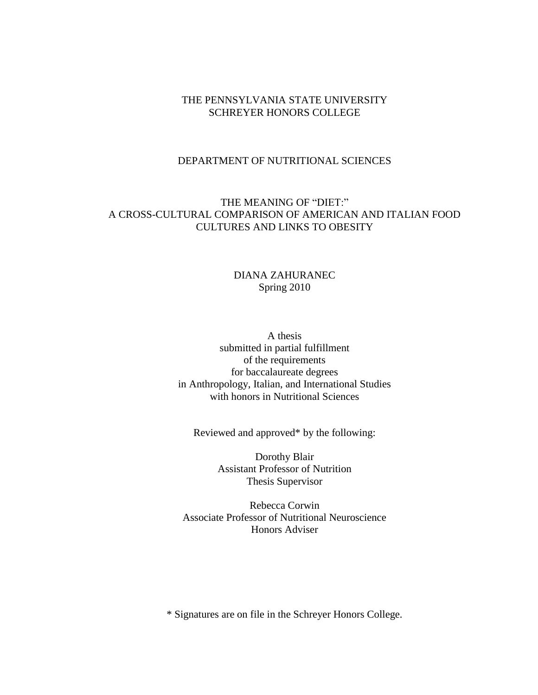### THE PENNSYLVANIA STATE UNIVERSITY SCHREYER HONORS COLLEGE

# DEPARTMENT OF NUTRITIONAL SCIENCES

# THE MEANING OF "DIET:" A CROSS-CULTURAL COMPARISON OF AMERICAN AND ITALIAN FOOD CULTURES AND LINKS TO OBESITY

# DIANA ZAHURANEC Spring 2010

A thesis submitted in partial fulfillment of the requirements for baccalaureate degrees in Anthropology, Italian, and International Studies with honors in Nutritional Sciences

Reviewed and approved\* by the following:

Dorothy Blair Assistant Professor of Nutrition Thesis Supervisor

Rebecca Corwin Associate Professor of Nutritional Neuroscience Honors Adviser

\* Signatures are on file in the Schreyer Honors College.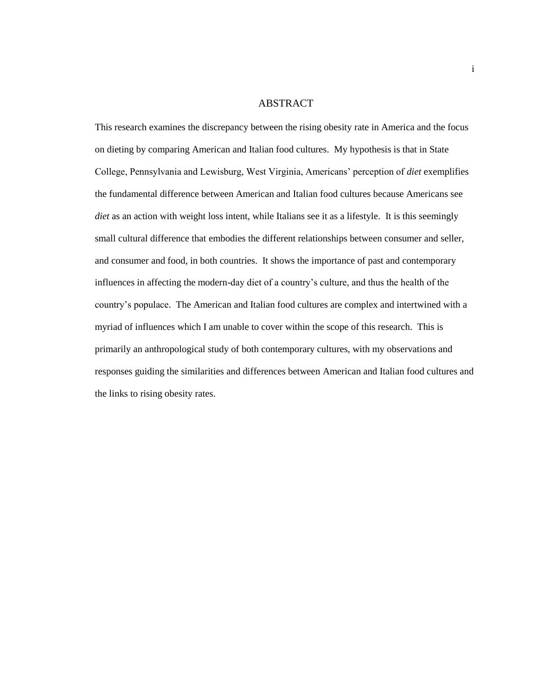#### ABSTRACT

This research examines the discrepancy between the rising obesity rate in America and the focus on dieting by comparing American and Italian food cultures. My hypothesis is that in State College, Pennsylvania and Lewisburg, West Virginia, Americans' perception of *diet* exemplifies the fundamental difference between American and Italian food cultures because Americans see *diet* as an action with weight loss intent, while Italians see it as a lifestyle. It is this seemingly small cultural difference that embodies the different relationships between consumer and seller, and consumer and food, in both countries. It shows the importance of past and contemporary influences in affecting the modern-day diet of a country's culture, and thus the health of the country's populace. The American and Italian food cultures are complex and intertwined with a myriad of influences which I am unable to cover within the scope of this research. This is primarily an anthropological study of both contemporary cultures, with my observations and responses guiding the similarities and differences between American and Italian food cultures and the links to rising obesity rates.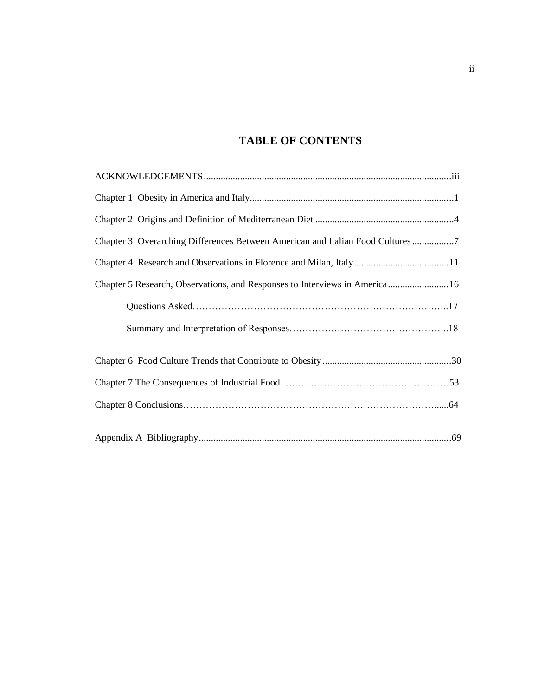# **TABLE OF CONTENTS**

| Chapter 3 Overarching Differences Between American and Italian Food Cultures 7 |
|--------------------------------------------------------------------------------|
|                                                                                |
| Chapter 5 Research, Observations, and Responses to Interviews in America 16    |
|                                                                                |
|                                                                                |
|                                                                                |
|                                                                                |
|                                                                                |
|                                                                                |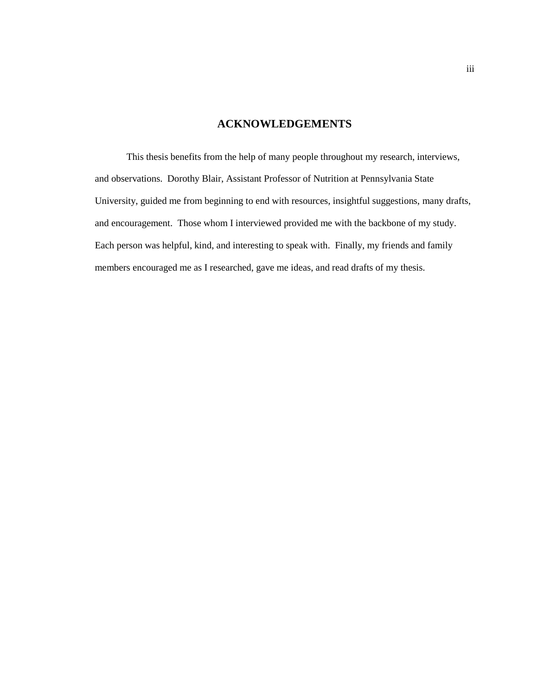# **ACKNOWLEDGEMENTS**

<span id="page-3-1"></span><span id="page-3-0"></span>This thesis benefits from the help of many people throughout my research, interviews, and observations. Dorothy Blair, Assistant Professor of Nutrition at Pennsylvania State University, guided me from beginning to end with resources, insightful suggestions, many drafts, and encouragement. Those whom I interviewed provided me with the backbone of my study. Each person was helpful, kind, and interesting to speak with. Finally, my friends and family members encouraged me as I researched, gave me ideas, and read drafts of my thesis.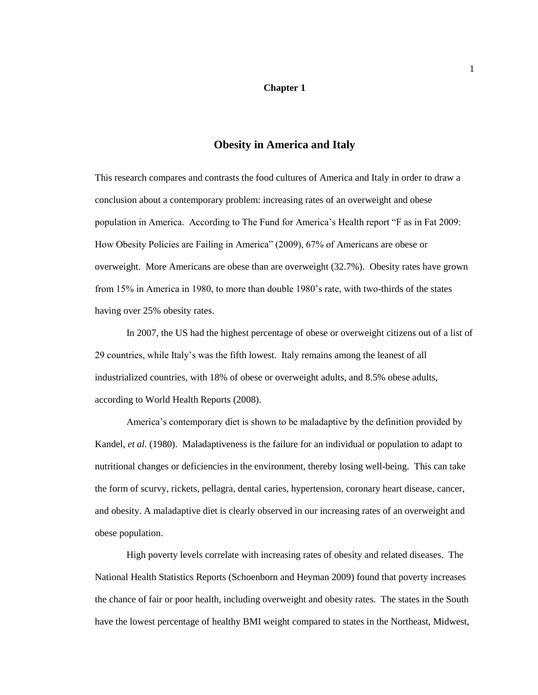#### **Chapter 1**

## **Obesity in America and Italy**

<span id="page-4-0"></span>This research compares and contrasts the food cultures of America and Italy in order to draw a conclusion about a contemporary problem: increasing rates of an overweight and obese population in America. According to The Fund for America's Health report "F as in Fat 2009: How Obesity Policies are Failing in America‖ (2009), 67% of Americans are obese or overweight. More Americans are obese than are overweight (32.7%). Obesity rates have grown from 15% in America in 1980, to more than double 1980's rate, with two-thirds of the states having over 25% obesity rates.

In 2007, the US had the highest percentage of obese or overweight citizens out of a list of 29 countries, while Italy's was the fifth lowest. Italy remains among the leanest of all industrialized countries, with 18% of obese or overweight adults, and 8.5% obese adults, according to World Health Reports (2008).

America's contemporary diet is shown to be maladaptive by the definition provided by Kandel, *et al.* (1980). Maladaptiveness is the failure for an individual or population to adapt to nutritional changes or deficiencies in the environment, thereby losing well-being. This can take the form of scurvy, rickets, pellagra, dental caries, hypertension, coronary heart disease, cancer, and obesity. A maladaptive diet is clearly observed in our increasing rates of an overweight and obese population.

High poverty levels correlate with increasing rates of obesity and related diseases. The National Health Statistics Reports (Schoenborn and Heyman 2009) found that poverty increases the chance of fair or poor health, including overweight and obesity rates. The states in the South have the lowest percentage of healthy BMI weight compared to states in the Northeast, Midwest,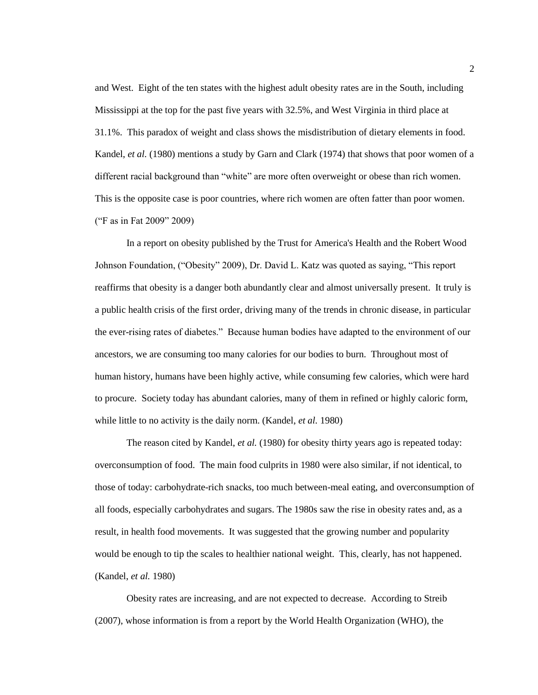and West. Eight of the ten states with the highest adult obesity rates are in the South, including Mississippi at the top for the past five years with 32.5%, and West Virginia in third place at 31.1%. This paradox of weight and class shows the misdistribution of dietary elements in food. Kandel, *et al.* (1980) mentions a study by Garn and Clark (1974) that shows that poor women of a different racial background than "white" are more often overweight or obese than rich women. This is the opposite case is poor countries, where rich women are often fatter than poor women. ("F as in Fat 2009" 2009)

In a report on obesity published by the Trust for America's Health and the Robert Wood Johnson Foundation, ("Obesity" 2009), Dr. David L. Katz was quoted as saying, "This report reaffirms that obesity is a danger both abundantly clear and almost universally present. It truly is a public health crisis of the first order, driving many of the trends in chronic disease, in particular the ever-rising rates of diabetes.‖ Because human bodies have adapted to the environment of our ancestors, we are consuming too many calories for our bodies to burn. Throughout most of human history, humans have been highly active, while consuming few calories, which were hard to procure. Society today has abundant calories, many of them in refined or highly caloric form, while little to no activity is the daily norm. (Kandel, *et al.* 1980)

The reason cited by Kandel, *et al.* (1980) for obesity thirty years ago is repeated today: overconsumption of food. The main food culprits in 1980 were also similar, if not identical, to those of today: carbohydrate-rich snacks, too much between-meal eating, and overconsumption of all foods, especially carbohydrates and sugars. The 1980s saw the rise in obesity rates and, as a result, in health food movements. It was suggested that the growing number and popularity would be enough to tip the scales to healthier national weight. This, clearly, has not happened. (Kandel, *et al.* 1980)

Obesity rates are increasing, and are not expected to decrease. According to Streib (2007), whose information is from a report by the World Health Organization (WHO), the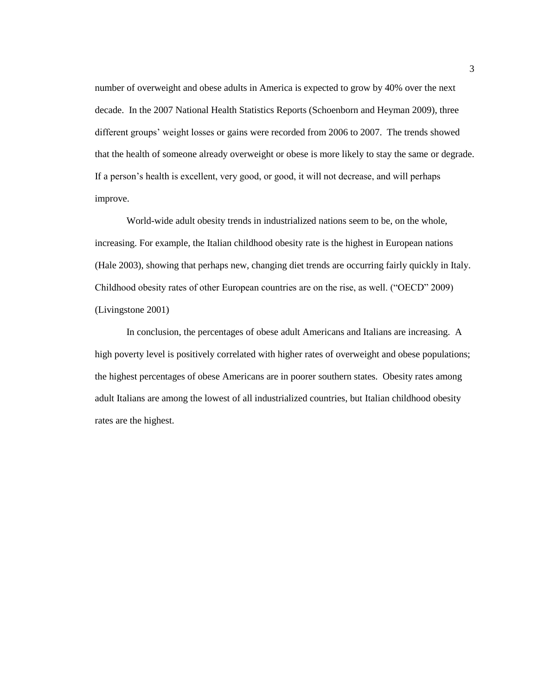number of overweight and obese adults in America is expected to grow by 40% over the next decade. In the 2007 National Health Statistics Reports (Schoenborn and Heyman 2009), three different groups' weight losses or gains were recorded from 2006 to 2007. The trends showed that the health of someone already overweight or obese is more likely to stay the same or degrade. If a person's health is excellent, very good, or good, it will not decrease, and will perhaps improve.

World-wide adult obesity trends in industrialized nations seem to be, on the whole, increasing. For example, the Italian childhood obesity rate is the highest in European nations (Hale 2003), showing that perhaps new, changing diet trends are occurring fairly quickly in Italy. Childhood obesity rates of other European countries are on the rise, as well. ("OECD" 2009) (Livingstone 2001)

In conclusion, the percentages of obese adult Americans and Italians are increasing. A high poverty level is positively correlated with higher rates of overweight and obese populations; the highest percentages of obese Americans are in poorer southern states. Obesity rates among adult Italians are among the lowest of all industrialized countries, but Italian childhood obesity rates are the highest.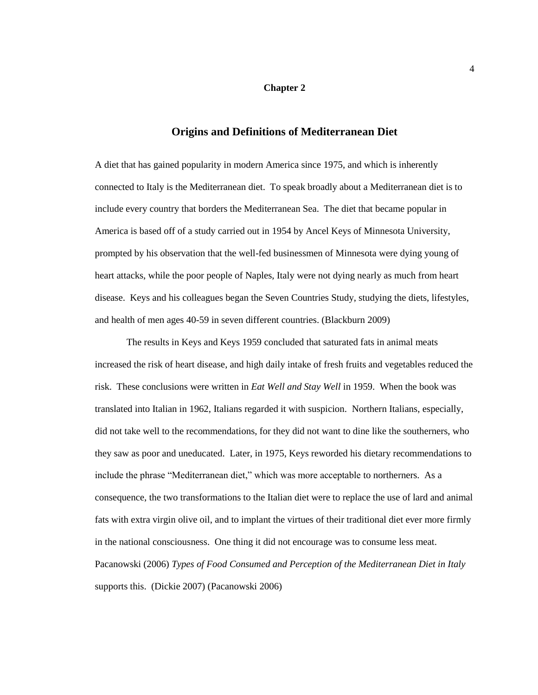#### **Chapter 2**

## **Origins and Definitions of Mediterranean Diet**

A diet that has gained popularity in modern America since 1975, and which is inherently connected to Italy is the Mediterranean diet. To speak broadly about a Mediterranean diet is to include every country that borders the Mediterranean Sea. The diet that became popular in America is based off of a study carried out in 1954 by Ancel Keys of Minnesota University, prompted by his observation that the well-fed businessmen of Minnesota were dying young of heart attacks, while the poor people of Naples, Italy were not dying nearly as much from heart disease. Keys and his colleagues began the Seven Countries Study, studying the diets, lifestyles, and health of men ages 40-59 in seven different countries. (Blackburn 2009)

The results in Keys and Keys 1959 concluded that saturated fats in animal meats increased the risk of heart disease, and high daily intake of fresh fruits and vegetables reduced the risk. These conclusions were written in *Eat Well and Stay Well* in 1959. When the book was translated into Italian in 1962, Italians regarded it with suspicion. Northern Italians, especially, did not take well to the recommendations, for they did not want to dine like the southerners, who they saw as poor and uneducated. Later, in 1975, Keys reworded his dietary recommendations to include the phrase "Mediterranean diet," which was more acceptable to northerners. As a consequence, the two transformations to the Italian diet were to replace the use of lard and animal fats with extra virgin olive oil, and to implant the virtues of their traditional diet ever more firmly in the national consciousness. One thing it did not encourage was to consume less meat. Pacanowski (2006) *Types of Food Consumed and Perception of the Mediterranean Diet in Italy* supports this. (Dickie 2007) (Pacanowski 2006)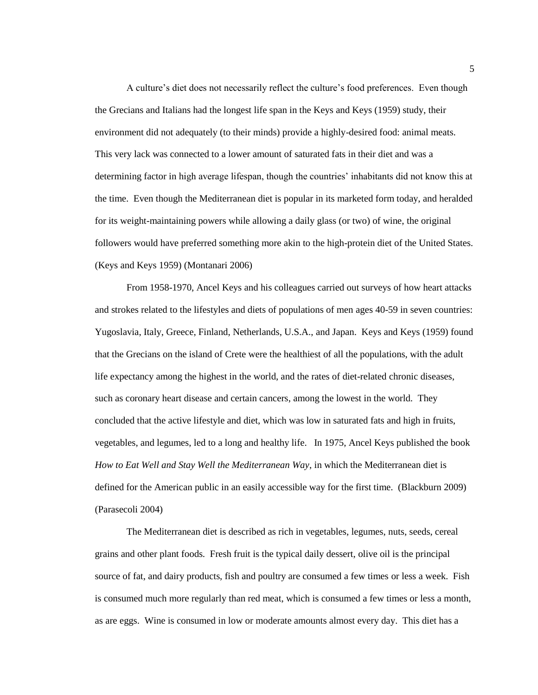A culture's diet does not necessarily reflect the culture's food preferences. Even though the Grecians and Italians had the longest life span in the Keys and Keys (1959) study, their environment did not adequately (to their minds) provide a highly-desired food: animal meats. This very lack was connected to a lower amount of saturated fats in their diet and was a determining factor in high average lifespan, though the countries' inhabitants did not know this at the time. Even though the Mediterranean diet is popular in its marketed form today, and heralded for its weight-maintaining powers while allowing a daily glass (or two) of wine, the original followers would have preferred something more akin to the high-protein diet of the United States. (Keys and Keys 1959) (Montanari 2006)

From 1958-1970, Ancel Keys and his colleagues carried out surveys of how heart attacks and strokes related to the lifestyles and diets of populations of men ages 40-59 in seven countries: Yugoslavia, Italy, Greece, Finland, Netherlands, U.S.A., and Japan. Keys and Keys (1959) found that the Grecians on the island of Crete were the healthiest of all the populations, with the adult life expectancy among the highest in the world, and the rates of diet-related chronic diseases, such as coronary heart disease and certain cancers, among the lowest in the world. They concluded that the active lifestyle and diet, which was low in saturated fats and high in fruits, vegetables, and legumes, led to a long and healthy life. In 1975, Ancel Keys published the book *How to Eat Well and Stay Well the Mediterranean Way*, in which the Mediterranean diet is defined for the American public in an easily accessible way for the first time. (Blackburn 2009) (Parasecoli 2004)

The Mediterranean diet is described as rich in vegetables, legumes, nuts, seeds, cereal grains and other plant foods. Fresh fruit is the typical daily dessert, olive oil is the principal source of fat, and dairy products, fish and poultry are consumed a few times or less a week. Fish is consumed much more regularly than red meat, which is consumed a few times or less a month, as are eggs. Wine is consumed in low or moderate amounts almost every day. This diet has a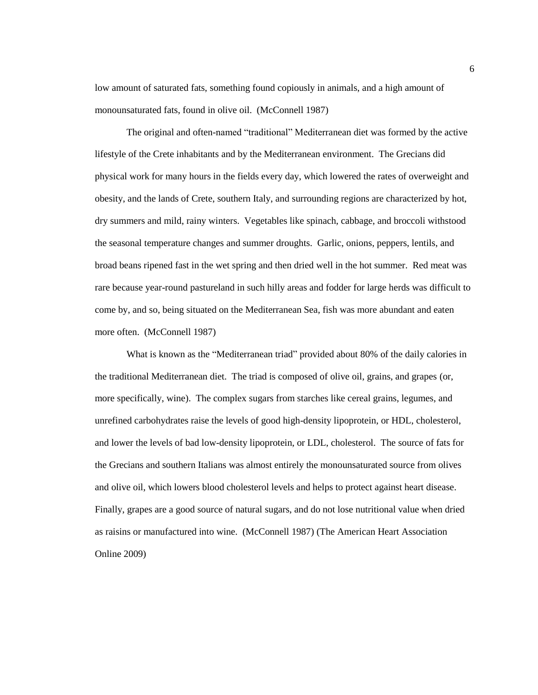low amount of saturated fats, something found copiously in animals, and a high amount of monounsaturated fats, found in olive oil. (McConnell 1987)

The original and often-named "traditional" Mediterranean diet was formed by the active lifestyle of the Crete inhabitants and by the Mediterranean environment. The Grecians did physical work for many hours in the fields every day, which lowered the rates of overweight and obesity, and the lands of Crete, southern Italy, and surrounding regions are characterized by hot, dry summers and mild, rainy winters. Vegetables like spinach, cabbage, and broccoli withstood the seasonal temperature changes and summer droughts. Garlic, onions, peppers, lentils, and broad beans ripened fast in the wet spring and then dried well in the hot summer. Red meat was rare because year-round pastureland in such hilly areas and fodder for large herds was difficult to come by, and so, being situated on the Mediterranean Sea, fish was more abundant and eaten more often. (McConnell 1987)

What is known as the "Mediterranean triad" provided about 80% of the daily calories in the traditional Mediterranean diet. The triad is composed of olive oil, grains, and grapes (or, more specifically, wine). The complex sugars from starches like cereal grains, legumes, and unrefined carbohydrates raise the levels of good high-density lipoprotein, or HDL, cholesterol, and lower the levels of bad low-density lipoprotein, or LDL, cholesterol. The source of fats for the Grecians and southern Italians was almost entirely the monounsaturated source from olives and olive oil, which lowers blood cholesterol levels and helps to protect against heart disease. Finally, grapes are a good source of natural sugars, and do not lose nutritional value when dried as raisins or manufactured into wine. (McConnell 1987) (The American Heart Association Online 2009)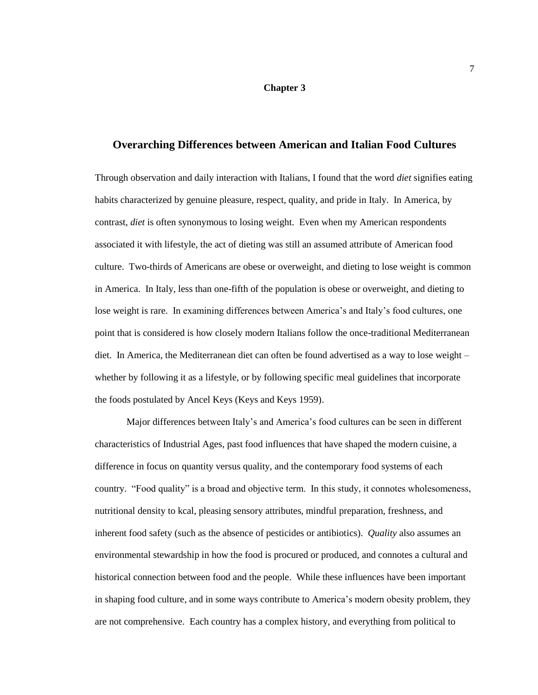#### **Chapter 3**

## **Overarching Differences between American and Italian Food Cultures**

Through observation and daily interaction with Italians, I found that the word *diet* signifies eating habits characterized by genuine pleasure, respect, quality, and pride in Italy. In America, by contrast, *diet* is often synonymous to losing weight. Even when my American respondents associated it with lifestyle, the act of dieting was still an assumed attribute of American food culture. Two-thirds of Americans are obese or overweight, and dieting to lose weight is common in America. In Italy, less than one-fifth of the population is obese or overweight, and dieting to lose weight is rare. In examining differences between America's and Italy's food cultures, one point that is considered is how closely modern Italians follow the once-traditional Mediterranean diet. In America, the Mediterranean diet can often be found advertised as a way to lose weight – whether by following it as a lifestyle, or by following specific meal guidelines that incorporate the foods postulated by Ancel Keys (Keys and Keys 1959).

Major differences between Italy's and America's food cultures can be seen in different characteristics of Industrial Ages, past food influences that have shaped the modern cuisine, a difference in focus on quantity versus quality, and the contemporary food systems of each country. "Food quality" is a broad and objective term. In this study, it connotes wholesomeness, nutritional density to kcal, pleasing sensory attributes, mindful preparation, freshness, and inherent food safety (such as the absence of pesticides or antibiotics). *Quality* also assumes an environmental stewardship in how the food is procured or produced, and connotes a cultural and historical connection between food and the people. While these influences have been important in shaping food culture, and in some ways contribute to America's modern obesity problem, they are not comprehensive. Each country has a complex history, and everything from political to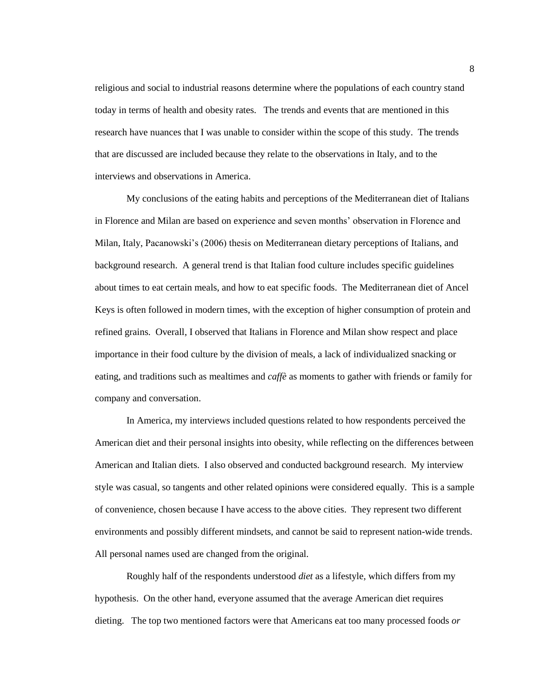religious and social to industrial reasons determine where the populations of each country stand today in terms of health and obesity rates. The trends and events that are mentioned in this research have nuances that I was unable to consider within the scope of this study. The trends that are discussed are included because they relate to the observations in Italy, and to the interviews and observations in America.

My conclusions of the eating habits and perceptions of the Mediterranean diet of Italians in Florence and Milan are based on experience and seven months' observation in Florence and Milan, Italy, Pacanowski's (2006) thesis on Mediterranean dietary perceptions of Italians, and background research. A general trend is that Italian food culture includes specific guidelines about times to eat certain meals, and how to eat specific foods. The Mediterranean diet of Ancel Keys is often followed in modern times, with the exception of higher consumption of protein and refined grains. Overall, I observed that Italians in Florence and Milan show respect and place importance in their food culture by the division of meals, a lack of individualized snacking or eating, and traditions such as mealtimes and *caffè* as moments to gather with friends or family for company and conversation.

In America, my interviews included questions related to how respondents perceived the American diet and their personal insights into obesity, while reflecting on the differences between American and Italian diets. I also observed and conducted background research. My interview style was casual, so tangents and other related opinions were considered equally. This is a sample of convenience, chosen because I have access to the above cities. They represent two different environments and possibly different mindsets, and cannot be said to represent nation-wide trends. All personal names used are changed from the original.

Roughly half of the respondents understood *diet* as a lifestyle, which differs from my hypothesis. On the other hand, everyone assumed that the average American diet requires dieting. The top two mentioned factors were that Americans eat too many processed foods *or*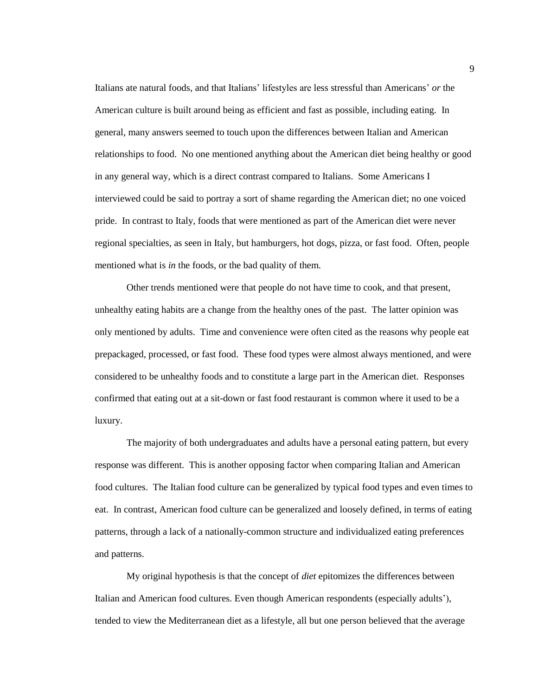Italians ate natural foods, and that Italians' lifestyles are less stressful than Americans' *or* the American culture is built around being as efficient and fast as possible, including eating. In general, many answers seemed to touch upon the differences between Italian and American relationships to food. No one mentioned anything about the American diet being healthy or good in any general way, which is a direct contrast compared to Italians. Some Americans I interviewed could be said to portray a sort of shame regarding the American diet; no one voiced pride. In contrast to Italy, foods that were mentioned as part of the American diet were never regional specialties, as seen in Italy, but hamburgers, hot dogs, pizza, or fast food. Often, people mentioned what is *in* the foods, or the bad quality of them.

Other trends mentioned were that people do not have time to cook, and that present, unhealthy eating habits are a change from the healthy ones of the past. The latter opinion was only mentioned by adults. Time and convenience were often cited as the reasons why people eat prepackaged, processed, or fast food. These food types were almost always mentioned, and were considered to be unhealthy foods and to constitute a large part in the American diet. Responses confirmed that eating out at a sit-down or fast food restaurant is common where it used to be a luxury.

The majority of both undergraduates and adults have a personal eating pattern, but every response was different. This is another opposing factor when comparing Italian and American food cultures. The Italian food culture can be generalized by typical food types and even times to eat. In contrast, American food culture can be generalized and loosely defined, in terms of eating patterns, through a lack of a nationally-common structure and individualized eating preferences and patterns.

My original hypothesis is that the concept of *diet* epitomizes the differences between Italian and American food cultures. Even though American respondents (especially adults'), tended to view the Mediterranean diet as a lifestyle, all but one person believed that the average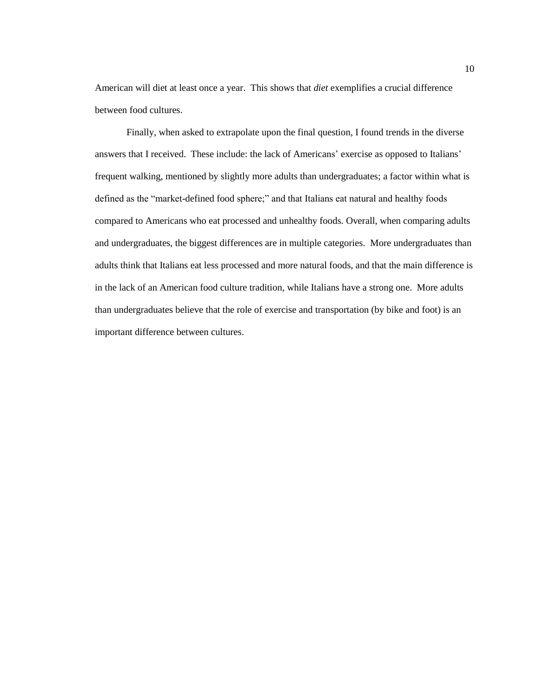American will diet at least once a year. This shows that *diet* exemplifies a crucial difference between food cultures.

<span id="page-13-0"></span>Finally, when asked to extrapolate upon the final question, I found trends in the diverse answers that I received. These include: the lack of Americans' exercise as opposed to Italians' frequent walking, mentioned by slightly more adults than undergraduates; a factor within what is defined as the "market-defined food sphere;" and that Italians eat natural and healthy foods compared to Americans who eat processed and unhealthy foods. Overall, when comparing adults and undergraduates, the biggest differences are in multiple categories. More undergraduates than adults think that Italians eat less processed and more natural foods, and that the main difference is in the lack of an American food culture tradition, while Italians have a strong one. More adults than undergraduates believe that the role of exercise and transportation (by bike and foot) is an important difference between cultures.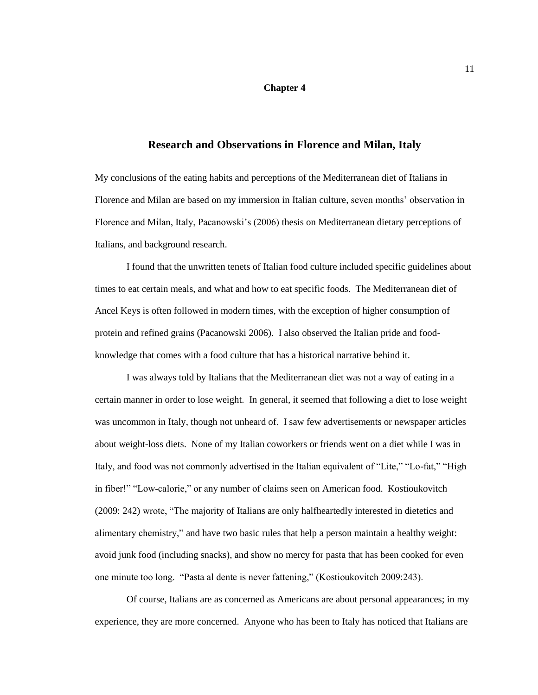#### **Chapter 4**

## **Research and Observations in Florence and Milan, Italy**

My conclusions of the eating habits and perceptions of the Mediterranean diet of Italians in Florence and Milan are based on my immersion in Italian culture, seven months' observation in Florence and Milan, Italy, Pacanowski's (2006) thesis on Mediterranean dietary perceptions of Italians, and background research.

I found that the unwritten tenets of Italian food culture included specific guidelines about times to eat certain meals, and what and how to eat specific foods. The Mediterranean diet of Ancel Keys is often followed in modern times, with the exception of higher consumption of protein and refined grains (Pacanowski 2006). I also observed the Italian pride and foodknowledge that comes with a food culture that has a historical narrative behind it.

I was always told by Italians that the Mediterranean diet was not a way of eating in a certain manner in order to lose weight. In general, it seemed that following a diet to lose weight was uncommon in Italy, though not unheard of. I saw few advertisements or newspaper articles about weight-loss diets. None of my Italian coworkers or friends went on a diet while I was in Italy, and food was not commonly advertised in the Italian equivalent of "Lite," "Lo-fat," "High in fiber!" "Low-calorie," or any number of claims seen on American food. Kostioukovitch (2009: 242) wrote, "The majority of Italians are only halfheartedly interested in dietetics and alimentary chemistry," and have two basic rules that help a person maintain a healthy weight: avoid junk food (including snacks), and show no mercy for pasta that has been cooked for even one minute too long. "Pasta al dente is never fattening," (Kostioukovitch 2009:243).

Of course, Italians are as concerned as Americans are about personal appearances; in my experience, they are more concerned. Anyone who has been to Italy has noticed that Italians are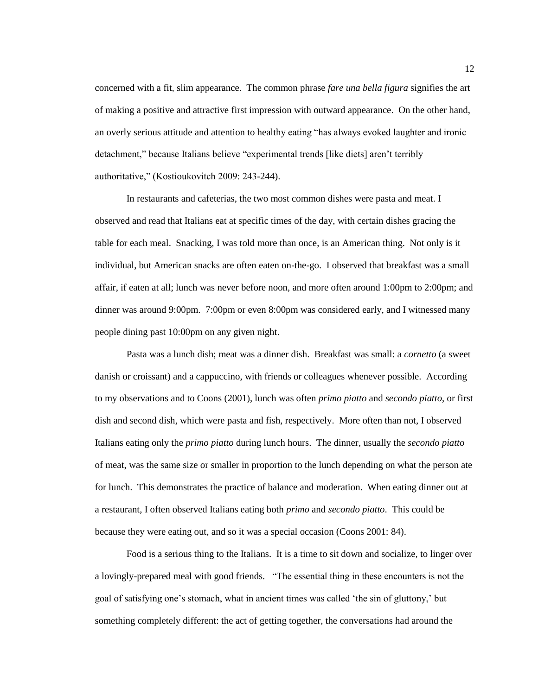concerned with a fit, slim appearance. The common phrase *fare una bella figura* signifies the art of making a positive and attractive first impression with outward appearance. On the other hand, an overly serious attitude and attention to healthy eating "has always evoked laughter and ironic detachment," because Italians believe "experimental trends [like diets] aren't terribly authoritative," (Kostioukovitch 2009: 243-244).

In restaurants and cafeterias, the two most common dishes were pasta and meat. I observed and read that Italians eat at specific times of the day, with certain dishes gracing the table for each meal. Snacking, I was told more than once, is an American thing. Not only is it individual, but American snacks are often eaten on-the-go. I observed that breakfast was a small affair, if eaten at all; lunch was never before noon, and more often around 1:00pm to 2:00pm; and dinner was around 9:00pm. 7:00pm or even 8:00pm was considered early, and I witnessed many people dining past 10:00pm on any given night.

Pasta was a lunch dish; meat was a dinner dish. Breakfast was small: a *cornetto* (a sweet danish or croissant) and a cappuccino, with friends or colleagues whenever possible. According to my observations and to Coons (2001), lunch was often *primo piatto* and *secondo piatto*, or first dish and second dish, which were pasta and fish, respectively. More often than not, I observed Italians eating only the *primo piatto* during lunch hours. The dinner, usually the *secondo piatto* of meat, was the same size or smaller in proportion to the lunch depending on what the person ate for lunch. This demonstrates the practice of balance and moderation. When eating dinner out at a restaurant, I often observed Italians eating both *primo* and *secondo piatto*. This could be because they were eating out, and so it was a special occasion (Coons 2001: 84).

Food is a serious thing to the Italians. It is a time to sit down and socialize, to linger over a lovingly-prepared meal with good friends. "The essential thing in these encounters is not the goal of satisfying one's stomach, what in ancient times was called ‗the sin of gluttony,' but something completely different: the act of getting together, the conversations had around the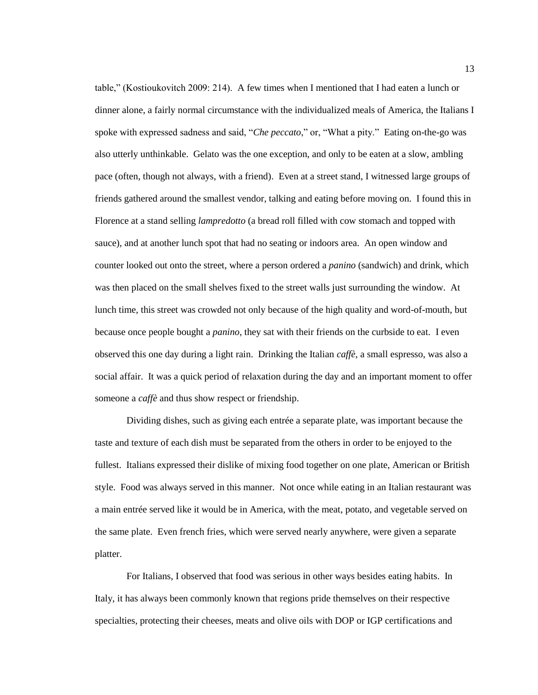table,‖ (Kostioukovitch 2009: 214). A few times when I mentioned that I had eaten a lunch or dinner alone, a fairly normal circumstance with the individualized meals of America, the Italians I spoke with expressed sadness and said, "*Che peccato*," or, "What a pity." Eating on-the-go was also utterly unthinkable. Gelato was the one exception, and only to be eaten at a slow, ambling pace (often, though not always, with a friend). Even at a street stand, I witnessed large groups of friends gathered around the smallest vendor, talking and eating before moving on. I found this in Florence at a stand selling *lampredotto* (a bread roll filled with cow stomach and topped with sauce), and at another lunch spot that had no seating or indoors area. An open window and counter looked out onto the street, where a person ordered a *panino* (sandwich) and drink, which was then placed on the small shelves fixed to the street walls just surrounding the window. At lunch time, this street was crowded not only because of the high quality and word-of-mouth, but because once people bought a *panino*, they sat with their friends on the curbside to eat. I even observed this one day during a light rain. Drinking the Italian *caffè*, a small espresso, was also a social affair. It was a quick period of relaxation during the day and an important moment to offer someone a *caffè* and thus show respect or friendship.

Dividing dishes, such as giving each entrée a separate plate, was important because the taste and texture of each dish must be separated from the others in order to be enjoyed to the fullest. Italians expressed their dislike of mixing food together on one plate, American or British style. Food was always served in this manner. Not once while eating in an Italian restaurant was a main entrée served like it would be in America, with the meat, potato, and vegetable served on the same plate. Even french fries, which were served nearly anywhere, were given a separate platter.

For Italians, I observed that food was serious in other ways besides eating habits. In Italy, it has always been commonly known that regions pride themselves on their respective specialties, protecting their cheeses, meats and olive oils with DOP or IGP certifications and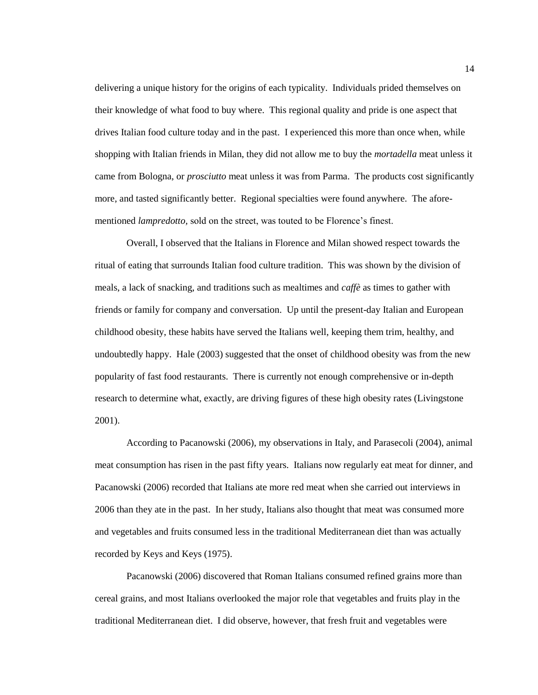delivering a unique history for the origins of each typicality. Individuals prided themselves on their knowledge of what food to buy where. This regional quality and pride is one aspect that drives Italian food culture today and in the past. I experienced this more than once when, while shopping with Italian friends in Milan, they did not allow me to buy the *mortadella* meat unless it came from Bologna, or *prosciutto* meat unless it was from Parma. The products cost significantly more, and tasted significantly better. Regional specialties were found anywhere. The aforementioned *lampredotto,* sold on the street, was touted to be Florence's finest.

Overall, I observed that the Italians in Florence and Milan showed respect towards the ritual of eating that surrounds Italian food culture tradition. This was shown by the division of meals, a lack of snacking, and traditions such as mealtimes and *caffè* as times to gather with friends or family for company and conversation. Up until the present-day Italian and European childhood obesity, these habits have served the Italians well, keeping them trim, healthy, and undoubtedly happy. Hale (2003) suggested that the onset of childhood obesity was from the new popularity of fast food restaurants. There is currently not enough comprehensive or in-depth research to determine what, exactly, are driving figures of these high obesity rates (Livingstone 2001).

According to Pacanowski (2006), my observations in Italy, and Parasecoli (2004), animal meat consumption has risen in the past fifty years. Italians now regularly eat meat for dinner, and Pacanowski (2006) recorded that Italians ate more red meat when she carried out interviews in 2006 than they ate in the past. In her study, Italians also thought that meat was consumed more and vegetables and fruits consumed less in the traditional Mediterranean diet than was actually recorded by Keys and Keys (1975).

Pacanowski (2006) discovered that Roman Italians consumed refined grains more than cereal grains, and most Italians overlooked the major role that vegetables and fruits play in the traditional Mediterranean diet. I did observe, however, that fresh fruit and vegetables were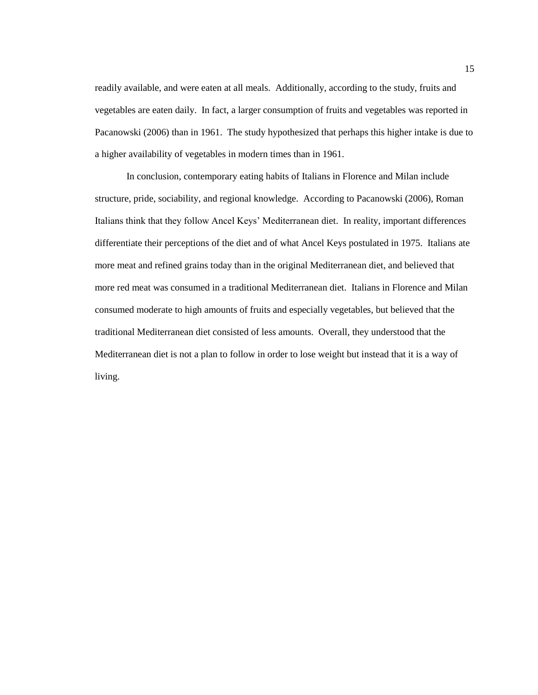readily available, and were eaten at all meals. Additionally, according to the study, fruits and vegetables are eaten daily. In fact, a larger consumption of fruits and vegetables was reported in Pacanowski (2006) than in 1961. The study hypothesized that perhaps this higher intake is due to a higher availability of vegetables in modern times than in 1961.

In conclusion, contemporary eating habits of Italians in Florence and Milan include structure, pride, sociability, and regional knowledge. According to Pacanowski (2006), Roman Italians think that they follow Ancel Keys' Mediterranean diet. In reality, important differences differentiate their perceptions of the diet and of what Ancel Keys postulated in 1975. Italians ate more meat and refined grains today than in the original Mediterranean diet, and believed that more red meat was consumed in a traditional Mediterranean diet. Italians in Florence and Milan consumed moderate to high amounts of fruits and especially vegetables, but believed that the traditional Mediterranean diet consisted of less amounts. Overall, they understood that the Mediterranean diet is not a plan to follow in order to lose weight but instead that it is a way of living.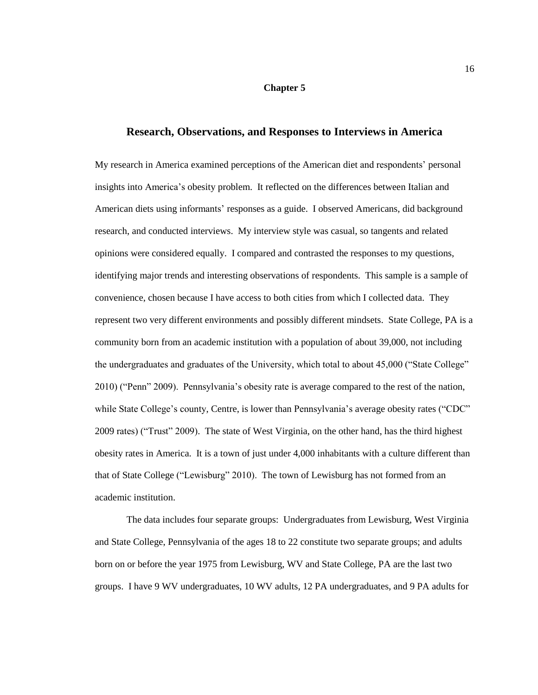#### **Chapter 5**

#### **Research, Observations, and Responses to Interviews in America**

<span id="page-19-0"></span>My research in America examined perceptions of the American diet and respondents' personal insights into America's obesity problem. It reflected on the differences between Italian and American diets using informants' responses as a guide. I observed Americans, did background research, and conducted interviews. My interview style was casual, so tangents and related opinions were considered equally. I compared and contrasted the responses to my questions, identifying major trends and interesting observations of respondents. This sample is a sample of convenience, chosen because I have access to both cities from which I collected data. They represent two very different environments and possibly different mindsets. State College, PA is a community born from an academic institution with a population of about 39,000, not including the undergraduates and graduates of the University, which total to about 45,000 ("State College" 2010) ("Penn" 2009). Pennsylvania's obesity rate is average compared to the rest of the nation, while State College's county, Centre, is lower than Pennsylvania's average obesity rates ("CDC" 2009 rates) ("Trust" 2009). The state of West Virginia, on the other hand, has the third highest obesity rates in America. It is a town of just under 4,000 inhabitants with a culture different than that of State College ("Lewisburg" 2010). The town of Lewisburg has not formed from an academic institution.

The data includes four separate groups: Undergraduates from Lewisburg, West Virginia and State College, Pennsylvania of the ages 18 to 22 constitute two separate groups; and adults born on or before the year 1975 from Lewisburg, WV and State College, PA are the last two groups. I have 9 WV undergraduates, 10 WV adults, 12 PA undergraduates, and 9 PA adults for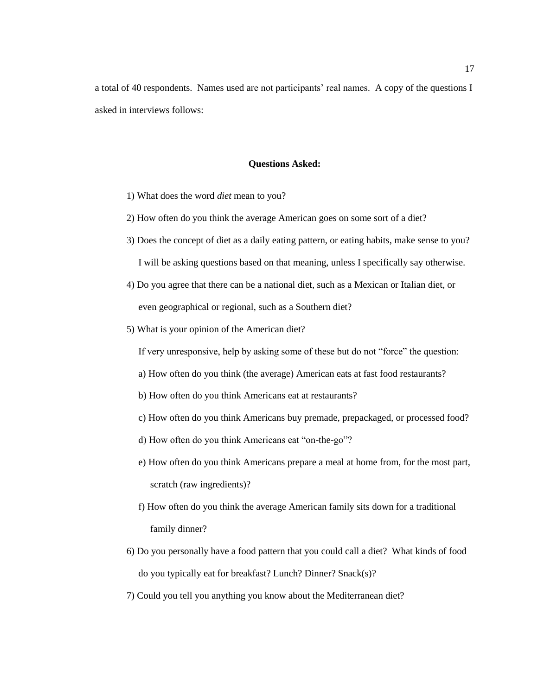a total of 40 respondents. Names used are not participants' real names. A copy of the questions I asked in interviews follows:

#### **Questions Asked:**

- 1) What does the word *diet* mean to you?
- 2) How often do you think the average American goes on some sort of a diet?
- 3) Does the concept of diet as a daily eating pattern, or eating habits, make sense to you? I will be asking questions based on that meaning, unless I specifically say otherwise.
- 4) Do you agree that there can be a national diet, such as a Mexican or Italian diet, or even geographical or regional, such as a Southern diet?
- 5) What is your opinion of the American diet?

If very unresponsive, help by asking some of these but do not "force" the question:

- a) How often do you think (the average) American eats at fast food restaurants?
- b) How often do you think Americans eat at restaurants?
- c) How often do you think Americans buy premade, prepackaged, or processed food?
- d) How often do you think Americans eat "on-the-go"?
- e) How often do you think Americans prepare a meal at home from, for the most part, scratch (raw ingredients)?
- f) How often do you think the average American family sits down for a traditional family dinner?
- 6) Do you personally have a food pattern that you could call a diet? What kinds of food do you typically eat for breakfast? Lunch? Dinner? Snack(s)?
- 7) Could you tell you anything you know about the Mediterranean diet?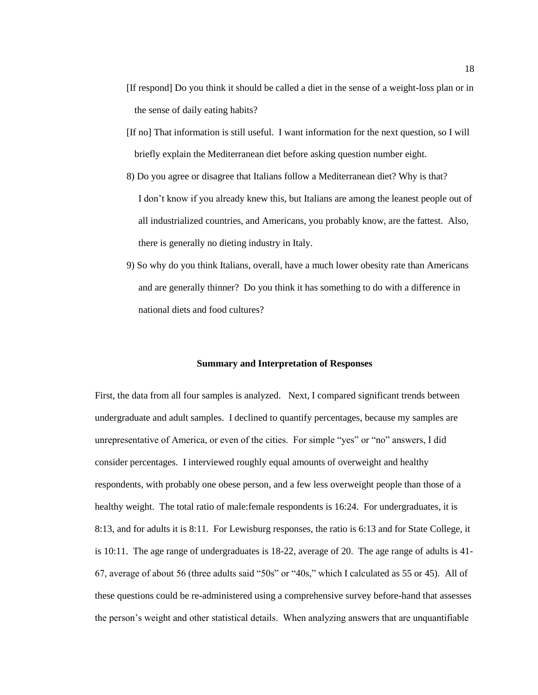- [If respond] Do you think it should be called a diet in the sense of a weight-loss plan or in the sense of daily eating habits?
- [If no] That information is still useful. I want information for the next question, so I will briefly explain the Mediterranean diet before asking question number eight.
- 8) Do you agree or disagree that Italians follow a Mediterranean diet? Why is that? I don't know if you already knew this, but Italians are among the leanest people out of all industrialized countries, and Americans, you probably know, are the fattest. Also, there is generally no dieting industry in Italy.
- 9) So why do you think Italians, overall, have a much lower obesity rate than Americans and are generally thinner? Do you think it has something to do with a difference in national diets and food cultures?

#### **Summary and Interpretation of Responses**

First, the data from all four samples is analyzed. Next, I compared significant trends between undergraduate and adult samples. I declined to quantify percentages, because my samples are unrepresentative of America, or even of the cities. For simple "yes" or "no" answers, I did consider percentages. I interviewed roughly equal amounts of overweight and healthy respondents, with probably one obese person, and a few less overweight people than those of a healthy weight. The total ratio of male: female respondents is 16:24. For undergraduates, it is 8:13, and for adults it is 8:11. For Lewisburg responses, the ratio is 6:13 and for State College, it is 10:11. The age range of undergraduates is 18-22, average of 20. The age range of adults is 41- 67, average of about 56 (three adults said "50s" or "40s," which I calculated as 55 or 45). All of these questions could be re-administered using a comprehensive survey before-hand that assesses the person's weight and other statistical details. When analyzing answers that are unquantifiable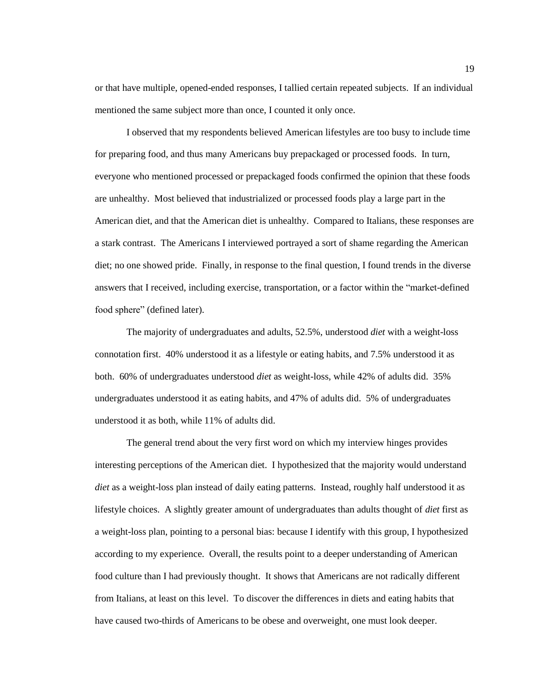or that have multiple, opened-ended responses, I tallied certain repeated subjects. If an individual mentioned the same subject more than once, I counted it only once.

I observed that my respondents believed American lifestyles are too busy to include time for preparing food, and thus many Americans buy prepackaged or processed foods. In turn, everyone who mentioned processed or prepackaged foods confirmed the opinion that these foods are unhealthy. Most believed that industrialized or processed foods play a large part in the American diet, and that the American diet is unhealthy. Compared to Italians, these responses are a stark contrast. The Americans I interviewed portrayed a sort of shame regarding the American diet; no one showed pride. Finally, in response to the final question, I found trends in the diverse answers that I received, including exercise, transportation, or a factor within the "market-defined" food sphere" (defined later).

The majority of undergraduates and adults, 52.5%, understood *diet* with a weight-loss connotation first. 40% understood it as a lifestyle or eating habits, and 7.5% understood it as both. 60% of undergraduates understood *diet* as weight-loss, while 42% of adults did. 35% undergraduates understood it as eating habits, and 47% of adults did. 5% of undergraduates understood it as both, while 11% of adults did.

The general trend about the very first word on which my interview hinges provides interesting perceptions of the American diet. I hypothesized that the majority would understand *diet* as a weight-loss plan instead of daily eating patterns. Instead, roughly half understood it as lifestyle choices. A slightly greater amount of undergraduates than adults thought of *diet* first as a weight-loss plan, pointing to a personal bias: because I identify with this group, I hypothesized according to my experience. Overall, the results point to a deeper understanding of American food culture than I had previously thought. It shows that Americans are not radically different from Italians, at least on this level. To discover the differences in diets and eating habits that have caused two-thirds of Americans to be obese and overweight, one must look deeper.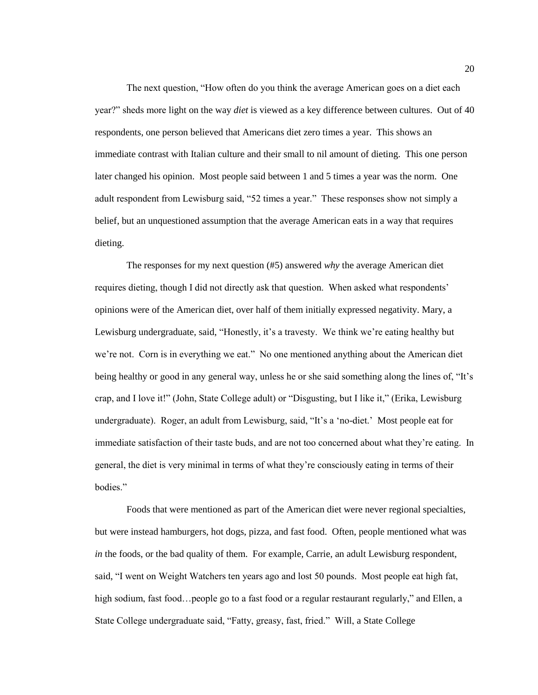The next question, "How often do you think the average American goes on a diet each year?‖ sheds more light on the way *diet* is viewed as a key difference between cultures. Out of 40 respondents, one person believed that Americans diet zero times a year. This shows an immediate contrast with Italian culture and their small to nil amount of dieting. This one person later changed his opinion. Most people said between 1 and 5 times a year was the norm. One adult respondent from Lewisburg said, "52 times a year." These responses show not simply a belief, but an unquestioned assumption that the average American eats in a way that requires dieting.

The responses for my next question (#5) answered *why* the average American diet requires dieting, though I did not directly ask that question. When asked what respondents' opinions were of the American diet, over half of them initially expressed negativity. Mary, a Lewisburg undergraduate, said, "Honestly, it's a travesty. We think we're eating healthy but we're not. Corn is in everything we eat." No one mentioned anything about the American diet being healthy or good in any general way, unless he or she said something along the lines of, "It's crap, and I love it!" (John, State College adult) or "Disgusting, but I like it," (Erika, Lewisburg undergraduate). Roger, an adult from Lewisburg, said, "It's a 'no-diet.' Most people eat for immediate satisfaction of their taste buds, and are not too concerned about what they're eating. In general, the diet is very minimal in terms of what they're consciously eating in terms of their bodies."

Foods that were mentioned as part of the American diet were never regional specialties, but were instead hamburgers, hot dogs, pizza, and fast food. Often, people mentioned what was *in* the foods, or the bad quality of them. For example, Carrie, an adult Lewisburg respondent, said, "I went on Weight Watchers ten years ago and lost 50 pounds. Most people eat high fat, high sodium, fast food…people go to a fast food or a regular restaurant regularly," and Ellen, a State College undergraduate said, "Fatty, greasy, fast, fried." Will, a State College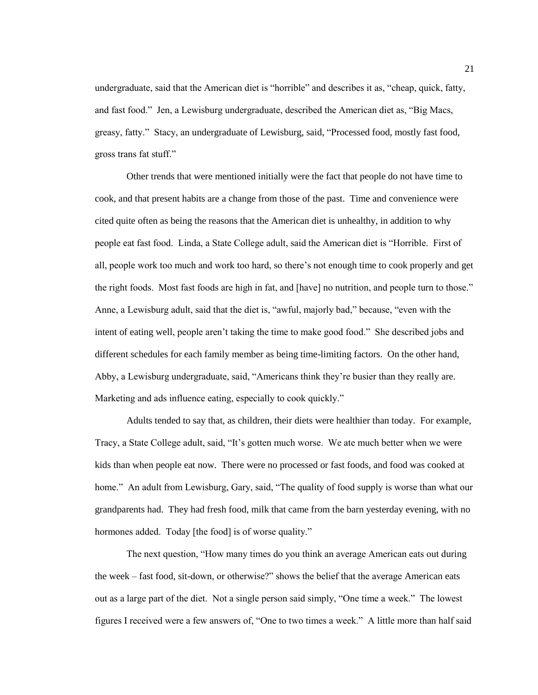undergraduate, said that the American diet is "horrible" and describes it as, "cheap, quick, fatty, and fast food." Jen, a Lewisburg undergraduate, described the American diet as, "Big Macs, greasy, fatty." Stacy, an undergraduate of Lewisburg, said, "Processed food, mostly fast food, gross trans fat stuff."

Other trends that were mentioned initially were the fact that people do not have time to cook, and that present habits are a change from those of the past. Time and convenience were cited quite often as being the reasons that the American diet is unhealthy, in addition to why people eat fast food. Linda, a State College adult, said the American diet is "Horrible. First of all, people work too much and work too hard, so there's not enough time to cook properly and get the right foods. Most fast foods are high in fat, and [have] no nutrition, and people turn to those." Anne, a Lewisburg adult, said that the diet is, "awful, majorly bad," because, "even with the intent of eating well, people aren't taking the time to make good food." She described jobs and different schedules for each family member as being time-limiting factors. On the other hand, Abby, a Lewisburg undergraduate, said, "Americans think they're busier than they really are. Marketing and ads influence eating, especially to cook quickly."

Adults tended to say that, as children, their diets were healthier than today. For example, Tracy, a State College adult, said, "It's gotten much worse. We ate much better when we were kids than when people eat now. There were no processed or fast foods, and food was cooked at home." An adult from Lewisburg, Gary, said, "The quality of food supply is worse than what our grandparents had. They had fresh food, milk that came from the barn yesterday evening, with no hormones added. Today [the food] is of worse quality."

The next question, "How many times do you think an average American eats out during the week – fast food, sit-down, or otherwise?" shows the belief that the average American eats out as a large part of the diet. Not a single person said simply, "One time a week." The lowest figures I received were a few answers of, "One to two times a week." A little more than half said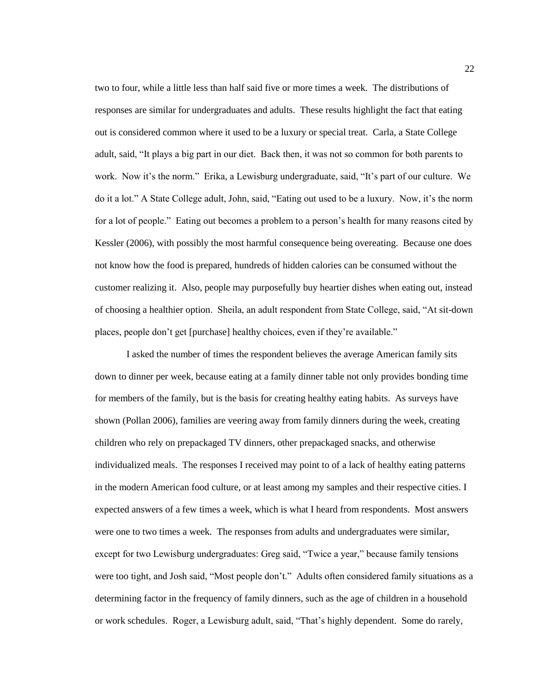two to four, while a little less than half said five or more times a week. The distributions of responses are similar for undergraduates and adults. These results highlight the fact that eating out is considered common where it used to be a luxury or special treat. Carla, a State College adult, said, "It plays a big part in our diet. Back then, it was not so common for both parents to work. Now it's the norm." Erika, a Lewisburg undergraduate, said, "It's part of our culture. We do it a lot." A State College adult, John, said, "Eating out used to be a luxury. Now, it's the norm for a lot of people." Eating out becomes a problem to a person's health for many reasons cited by Kessler (2006), with possibly the most harmful consequence being overeating. Because one does not know how the food is prepared, hundreds of hidden calories can be consumed without the customer realizing it. Also, people may purposefully buy heartier dishes when eating out, instead of choosing a healthier option. Sheila, an adult respondent from State College, said, "At sit-down" places, people don't get [purchase] healthy choices, even if they're available."

I asked the number of times the respondent believes the average American family sits down to dinner per week, because eating at a family dinner table not only provides bonding time for members of the family, but is the basis for creating healthy eating habits. As surveys have shown (Pollan 2006), families are veering away from family dinners during the week, creating children who rely on prepackaged TV dinners, other prepackaged snacks, and otherwise individualized meals. The responses I received may point to of a lack of healthy eating patterns in the modern American food culture, or at least among my samples and their respective cities. I expected answers of a few times a week, which is what I heard from respondents. Most answers were one to two times a week. The responses from adults and undergraduates were similar, except for two Lewisburg undergraduates: Greg said, "Twice a year," because family tensions were too tight, and Josh said, "Most people don't." Adults often considered family situations as a determining factor in the frequency of family dinners, such as the age of children in a household or work schedules. Roger, a Lewisburg adult, said, "That's highly dependent. Some do rarely,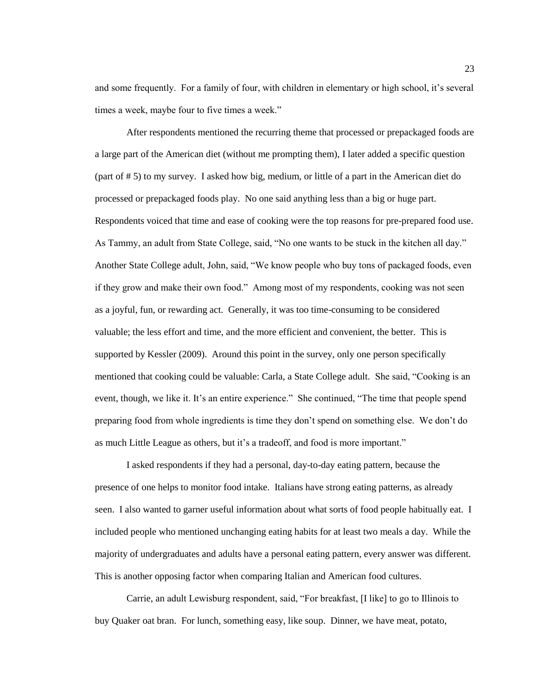and some frequently. For a family of four, with children in elementary or high school, it's several times a week, maybe four to five times a week."

After respondents mentioned the recurring theme that processed or prepackaged foods are a large part of the American diet (without me prompting them), I later added a specific question (part of # 5) to my survey. I asked how big, medium, or little of a part in the American diet do processed or prepackaged foods play. No one said anything less than a big or huge part. Respondents voiced that time and ease of cooking were the top reasons for pre-prepared food use. As Tammy, an adult from State College, said, "No one wants to be stuck in the kitchen all day." Another State College adult, John, said, "We know people who buy tons of packaged foods, even if they grow and make their own food." Among most of my respondents, cooking was not seen as a joyful, fun, or rewarding act. Generally, it was too time-consuming to be considered valuable; the less effort and time, and the more efficient and convenient, the better. This is supported by Kessler (2009). Around this point in the survey, only one person specifically mentioned that cooking could be valuable: Carla, a State College adult. She said, "Cooking is an event, though, we like it. It's an entire experience." She continued, "The time that people spend preparing food from whole ingredients is time they don't spend on something else. We don't do as much Little League as others, but it's a tradeoff, and food is more important."

I asked respondents if they had a personal, day-to-day eating pattern, because the presence of one helps to monitor food intake. Italians have strong eating patterns, as already seen. I also wanted to garner useful information about what sorts of food people habitually eat. I included people who mentioned unchanging eating habits for at least two meals a day. While the majority of undergraduates and adults have a personal eating pattern, every answer was different. This is another opposing factor when comparing Italian and American food cultures.

Carrie, an adult Lewisburg respondent, said, "For breakfast, [I like] to go to Illinois to buy Quaker oat bran. For lunch, something easy, like soup. Dinner, we have meat, potato,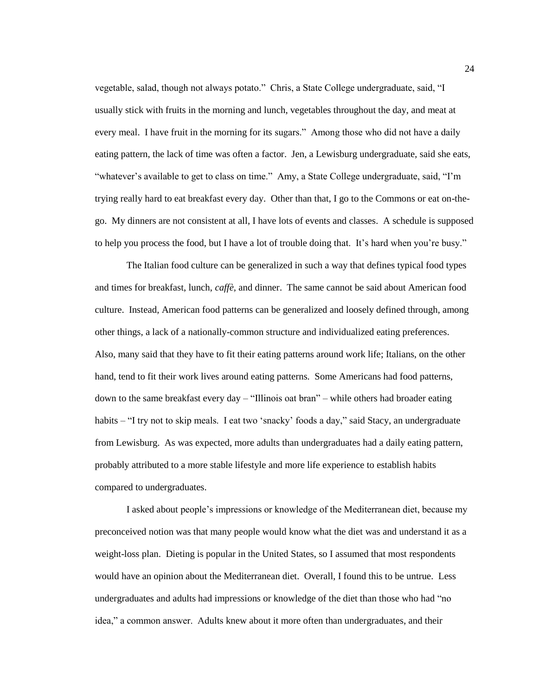vegetable, salad, though not always potato." Chris, a State College undergraduate, said, "I usually stick with fruits in the morning and lunch, vegetables throughout the day, and meat at every meal. I have fruit in the morning for its sugars." Among those who did not have a daily eating pattern, the lack of time was often a factor. Jen, a Lewisburg undergraduate, said she eats, "whatever's available to get to class on time." Amy, a State College undergraduate, said, "I'm trying really hard to eat breakfast every day. Other than that, I go to the Commons or eat on-thego. My dinners are not consistent at all, I have lots of events and classes. A schedule is supposed to help you process the food, but I have a lot of trouble doing that. It's hard when you're busy."

The Italian food culture can be generalized in such a way that defines typical food types and times for breakfast, lunch, *caffè,* and dinner. The same cannot be said about American food culture. Instead, American food patterns can be generalized and loosely defined through, among other things, a lack of a nationally-common structure and individualized eating preferences. Also, many said that they have to fit their eating patterns around work life; Italians, on the other hand, tend to fit their work lives around eating patterns. Some Americans had food patterns, down to the same breakfast every day – "Illinois oat bran" – while others had broader eating habits – "I try not to skip meals. I eat two 'snacky' foods a day," said Stacy, an undergraduate from Lewisburg. As was expected, more adults than undergraduates had a daily eating pattern, probably attributed to a more stable lifestyle and more life experience to establish habits compared to undergraduates.

I asked about people's impressions or knowledge of the Mediterranean diet, because my preconceived notion was that many people would know what the diet was and understand it as a weight-loss plan. Dieting is popular in the United States, so I assumed that most respondents would have an opinion about the Mediterranean diet. Overall, I found this to be untrue. Less undergraduates and adults had impressions or knowledge of the diet than those who had "no idea," a common answer. Adults knew about it more often than undergraduates, and their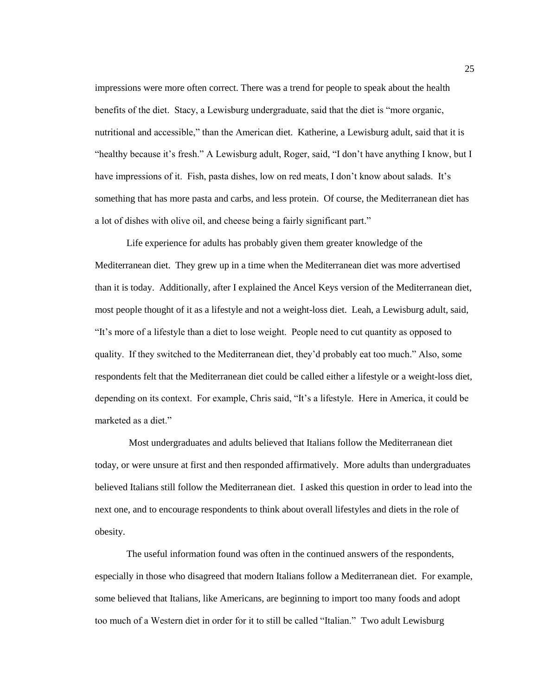impressions were more often correct. There was a trend for people to speak about the health benefits of the diet. Stacy, a Lewisburg undergraduate, said that the diet is "more organic, nutritional and accessible," than the American diet. Katherine, a Lewisburg adult, said that it is "healthy because it's fresh." A Lewisburg adult, Roger, said, "I don't have anything I know, but I have impressions of it. Fish, pasta dishes, low on red meats, I don't know about salads. It's something that has more pasta and carbs, and less protein. Of course, the Mediterranean diet has a lot of dishes with olive oil, and cheese being a fairly significant part."

Life experience for adults has probably given them greater knowledge of the Mediterranean diet. They grew up in a time when the Mediterranean diet was more advertised than it is today. Additionally, after I explained the Ancel Keys version of the Mediterranean diet, most people thought of it as a lifestyle and not a weight-loss diet. Leah, a Lewisburg adult, said, ―It's more of a lifestyle than a diet to lose weight. People need to cut quantity as opposed to quality. If they switched to the Mediterranean diet, they'd probably eat too much." Also, some respondents felt that the Mediterranean diet could be called either a lifestyle or a weight-loss diet, depending on its context. For example, Chris said, "It's a lifestyle. Here in America, it could be marketed as a diet."

Most undergraduates and adults believed that Italians follow the Mediterranean diet today, or were unsure at first and then responded affirmatively. More adults than undergraduates believed Italians still follow the Mediterranean diet. I asked this question in order to lead into the next one, and to encourage respondents to think about overall lifestyles and diets in the role of obesity.

The useful information found was often in the continued answers of the respondents, especially in those who disagreed that modern Italians follow a Mediterranean diet. For example, some believed that Italians, like Americans, are beginning to import too many foods and adopt too much of a Western diet in order for it to still be called "Italian." Two adult Lewisburg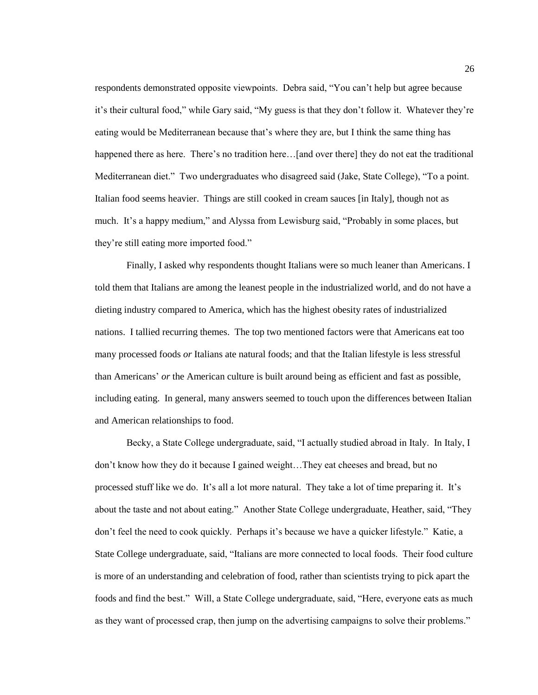respondents demonstrated opposite viewpoints. Debra said, "You can't help but agree because it's their cultural food," while Gary said, "My guess is that they don't follow it. Whatever they're eating would be Mediterranean because that's where they are, but I think the same thing has happened there as here. There's no tradition here...[and over there] they do not eat the traditional Mediterranean diet." Two undergraduates who disagreed said (Jake, State College), "To a point. Italian food seems heavier. Things are still cooked in cream sauces [in Italy], though not as much. It's a happy medium," and Alyssa from Lewisburg said, "Probably in some places, but they're still eating more imported food."

Finally, I asked why respondents thought Italians were so much leaner than Americans. I told them that Italians are among the leanest people in the industrialized world, and do not have a dieting industry compared to America, which has the highest obesity rates of industrialized nations. I tallied recurring themes. The top two mentioned factors were that Americans eat too many processed foods *or* Italians ate natural foods; and that the Italian lifestyle is less stressful than Americans' *or* the American culture is built around being as efficient and fast as possible, including eating. In general, many answers seemed to touch upon the differences between Italian and American relationships to food.

Becky, a State College undergraduate, said, "I actually studied abroad in Italy. In Italy, I don't know how they do it because I gained weight…They eat cheeses and bread, but no processed stuff like we do. It's all a lot more natural. They take a lot of time preparing it. It's about the taste and not about eating." Another State College undergraduate, Heather, said, "They don't feel the need to cook quickly. Perhaps it's because we have a quicker lifestyle." Katie, a State College undergraduate, said, "Italians are more connected to local foods. Their food culture is more of an understanding and celebration of food, rather than scientists trying to pick apart the foods and find the best." Will, a State College undergraduate, said, "Here, everyone eats as much as they want of processed crap, then jump on the advertising campaigns to solve their problems."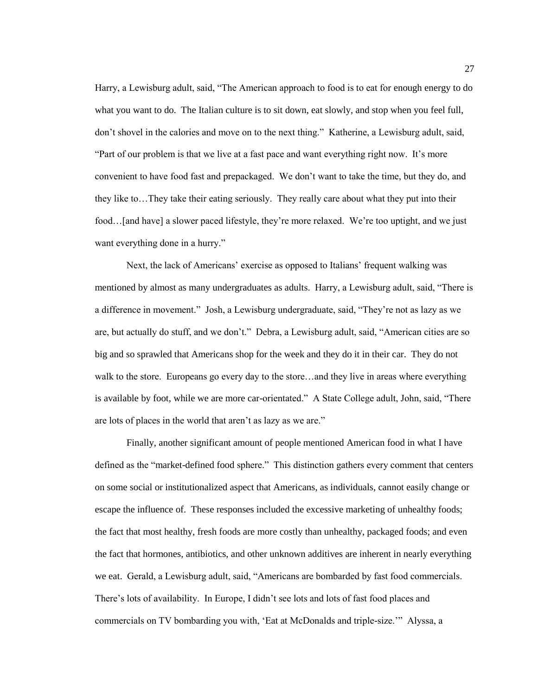Harry, a Lewisburg adult, said, "The American approach to food is to eat for enough energy to do what you want to do. The Italian culture is to sit down, eat slowly, and stop when you feel full, don't shovel in the calories and move on to the next thing." Katherine, a Lewisburg adult, said, "Part of our problem is that we live at a fast pace and want everything right now. It's more convenient to have food fast and prepackaged. We don't want to take the time, but they do, and they like to…They take their eating seriously. They really care about what they put into their food…[and have] a slower paced lifestyle, they're more relaxed. We're too uptight, and we just want everything done in a hurry."

Next, the lack of Americans' exercise as opposed to Italians' frequent walking was mentioned by almost as many undergraduates as adults. Harry, a Lewisburg adult, said, "There is a difference in movement." Josh, a Lewisburg undergraduate, said, "They're not as lazy as we are, but actually do stuff, and we don't." Debra, a Lewisburg adult, said, "American cities are so big and so sprawled that Americans shop for the week and they do it in their car. They do not walk to the store. Europeans go every day to the store...and they live in areas where everything is available by foot, while we are more car-orientated." A State College adult, John, said, "There are lots of places in the world that aren't as lazy as we are."

Finally, another significant amount of people mentioned American food in what I have defined as the "market-defined food sphere." This distinction gathers every comment that centers on some social or institutionalized aspect that Americans, as individuals, cannot easily change or escape the influence of. These responses included the excessive marketing of unhealthy foods; the fact that most healthy, fresh foods are more costly than unhealthy, packaged foods; and even the fact that hormones, antibiotics, and other unknown additives are inherent in nearly everything we eat. Gerald, a Lewisburg adult, said, "Americans are bombarded by fast food commercials. There's lots of availability. In Europe, I didn't see lots and lots of fast food places and commercials on TV bombarding you with, 'Eat at McDonalds and triple-size.'" Alyssa, a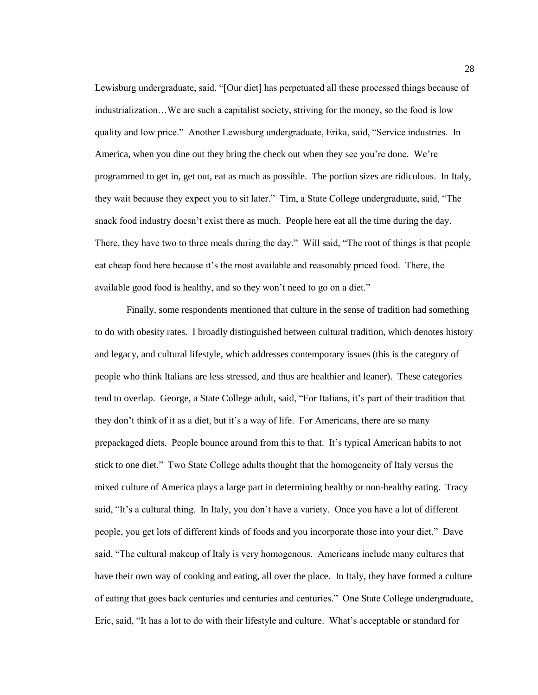Lewisburg undergraduate, said, "[Our diet] has perpetuated all these processed things because of industrialization…We are such a capitalist society, striving for the money, so the food is low quality and low price." Another Lewisburg undergraduate, Erika, said, "Service industries. In America, when you dine out they bring the check out when they see you're done. We're programmed to get in, get out, eat as much as possible. The portion sizes are ridiculous. In Italy, they wait because they expect you to sit later." Tim, a State College undergraduate, said, "The snack food industry doesn't exist there as much. People here eat all the time during the day. There, they have two to three meals during the day." Will said, "The root of things is that people eat cheap food here because it's the most available and reasonably priced food. There, the available good food is healthy, and so they won't need to go on a diet."

Finally, some respondents mentioned that culture in the sense of tradition had something to do with obesity rates. I broadly distinguished between cultural tradition, which denotes history and legacy, and cultural lifestyle, which addresses contemporary issues (this is the category of people who think Italians are less stressed, and thus are healthier and leaner). These categories tend to overlap. George, a State College adult, said, "For Italians, it's part of their tradition that they don't think of it as a diet, but it's a way of life. For Americans, there are so many prepackaged diets. People bounce around from this to that. It's typical American habits to not stick to one diet.‖ Two State College adults thought that the homogeneity of Italy versus the mixed culture of America plays a large part in determining healthy or non-healthy eating. Tracy said, "It's a cultural thing. In Italy, you don't have a variety. Once you have a lot of different people, you get lots of different kinds of foods and you incorporate those into your diet.‖ Dave said, "The cultural makeup of Italy is very homogenous. Americans include many cultures that have their own way of cooking and eating, all over the place. In Italy, they have formed a culture of eating that goes back centuries and centuries and centuries." One State College undergraduate, Eric, said, "It has a lot to do with their lifestyle and culture. What's acceptable or standard for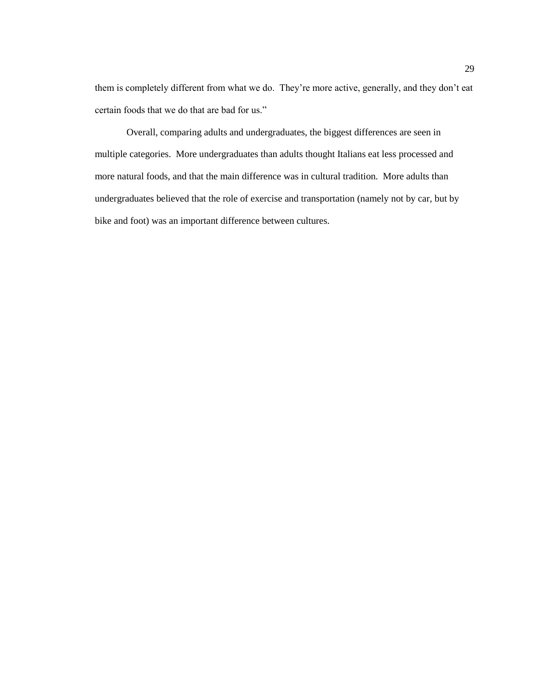them is completely different from what we do. They're more active, generally, and they don't eat certain foods that we do that are bad for us."

Overall, comparing adults and undergraduates, the biggest differences are seen in multiple categories. More undergraduates than adults thought Italians eat less processed and more natural foods, and that the main difference was in cultural tradition. More adults than undergraduates believed that the role of exercise and transportation (namely not by car, but by bike and foot) was an important difference between cultures.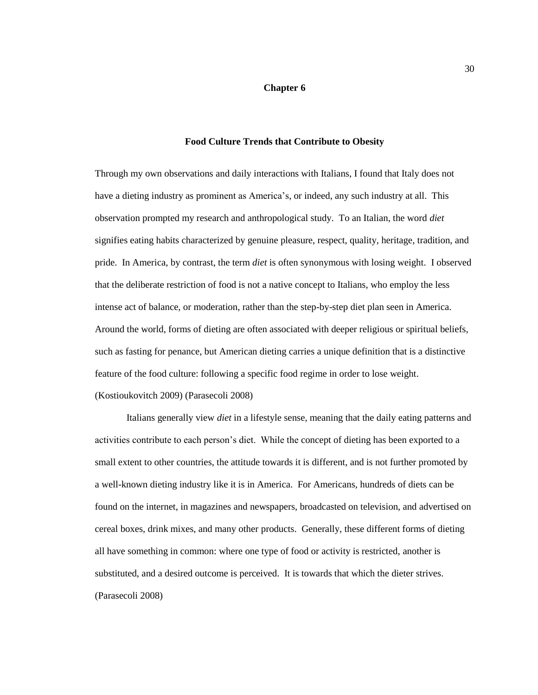#### **Chapter 6**

#### **Food Culture Trends that Contribute to Obesity**

<span id="page-33-0"></span>Through my own observations and daily interactions with Italians, I found that Italy does not have a dieting industry as prominent as America's, or indeed, any such industry at all. This observation prompted my research and anthropological study. To an Italian, the word *diet* signifies eating habits characterized by genuine pleasure, respect, quality, heritage, tradition, and pride. In America, by contrast, the term *diet* is often synonymous with losing weight. I observed that the deliberate restriction of food is not a native concept to Italians, who employ the less intense act of balance, or moderation, rather than the step-by-step diet plan seen in America. Around the world, forms of dieting are often associated with deeper religious or spiritual beliefs, such as fasting for penance, but American dieting carries a unique definition that is a distinctive feature of the food culture: following a specific food regime in order to lose weight. (Kostioukovitch 2009) (Parasecoli 2008)

Italians generally view *diet* in a lifestyle sense, meaning that the daily eating patterns and activities contribute to each person's diet. While the concept of dieting has been exported to a small extent to other countries, the attitude towards it is different, and is not further promoted by a well-known dieting industry like it is in America. For Americans, hundreds of diets can be found on the internet, in magazines and newspapers, broadcasted on television, and advertised on cereal boxes, drink mixes, and many other products. Generally, these different forms of dieting all have something in common: where one type of food or activity is restricted, another is substituted, and a desired outcome is perceived. It is towards that which the dieter strives. (Parasecoli 2008)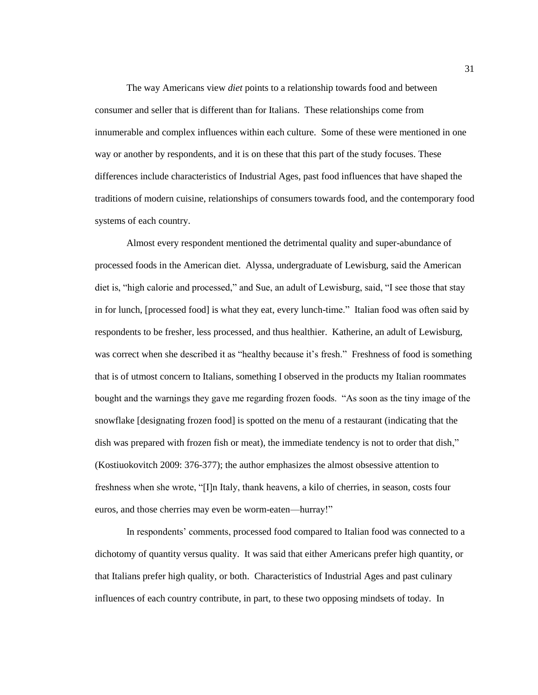The way Americans view *diet* points to a relationship towards food and between consumer and seller that is different than for Italians. These relationships come from innumerable and complex influences within each culture. Some of these were mentioned in one way or another by respondents, and it is on these that this part of the study focuses. These differences include characteristics of Industrial Ages, past food influences that have shaped the traditions of modern cuisine, relationships of consumers towards food, and the contemporary food systems of each country.

Almost every respondent mentioned the detrimental quality and super-abundance of processed foods in the American diet. Alyssa, undergraduate of Lewisburg, said the American diet is, "high calorie and processed," and Sue, an adult of Lewisburg, said, "I see those that stay in for lunch, [processed food] is what they eat, every lunch-time." Italian food was often said by respondents to be fresher, less processed, and thus healthier. Katherine, an adult of Lewisburg, was correct when she described it as "healthy because it's fresh." Freshness of food is something that is of utmost concern to Italians, something I observed in the products my Italian roommates bought and the warnings they gave me regarding frozen foods. "As soon as the tiny image of the snowflake [designating frozen food] is spotted on the menu of a restaurant (indicating that the dish was prepared with frozen fish or meat), the immediate tendency is not to order that dish," (Kostiuokovitch 2009: 376-377); the author emphasizes the almost obsessive attention to freshness when she wrote, "[I]n Italy, thank heavens, a kilo of cherries, in season, costs four euros, and those cherries may even be worm-eaten-hurray!"

In respondents' comments, processed food compared to Italian food was connected to a dichotomy of quantity versus quality. It was said that either Americans prefer high quantity, or that Italians prefer high quality, or both. Characteristics of Industrial Ages and past culinary influences of each country contribute, in part, to these two opposing mindsets of today. In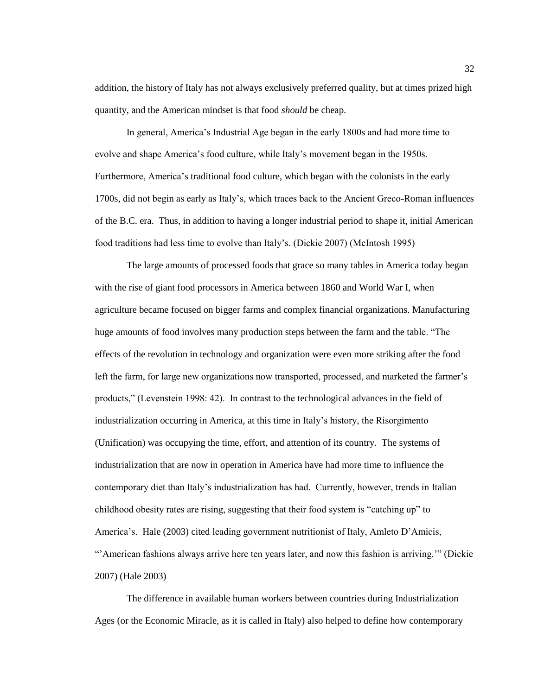addition, the history of Italy has not always exclusively preferred quality, but at times prized high quantity, and the American mindset is that food *should* be cheap.

In general, America's Industrial Age began in the early 1800s and had more time to evolve and shape America's food culture, while Italy's movement began in the 1950s. Furthermore, America's traditional food culture, which began with the colonists in the early 1700s, did not begin as early as Italy's, which traces back to the Ancient Greco-Roman influences of the B.C. era. Thus, in addition to having a longer industrial period to shape it, initial American food traditions had less time to evolve than Italy's. (Dickie 2007) (McIntosh 1995)

The large amounts of processed foods that grace so many tables in America today began with the rise of giant food processors in America between 1860 and World War I, when agriculture became focused on bigger farms and complex financial organizations. Manufacturing huge amounts of food involves many production steps between the farm and the table. "The effects of the revolution in technology and organization were even more striking after the food left the farm, for large new organizations now transported, processed, and marketed the farmer's products,‖ (Levenstein 1998: 42). In contrast to the technological advances in the field of industrialization occurring in America, at this time in Italy's history, the Risorgimento (Unification) was occupying the time, effort, and attention of its country. The systems of industrialization that are now in operation in America have had more time to influence the contemporary diet than Italy's industrialization has had. Currently, however, trends in Italian childhood obesity rates are rising, suggesting that their food system is "catching up" to America's. Hale (2003) cited leading government nutritionist of Italy, Amleto D'Amicis, ―'American fashions always arrive here ten years later, and now this fashion is arriving.'‖ (Dickie 2007) (Hale 2003)

The difference in available human workers between countries during Industrialization Ages (or the Economic Miracle, as it is called in Italy) also helped to define how contemporary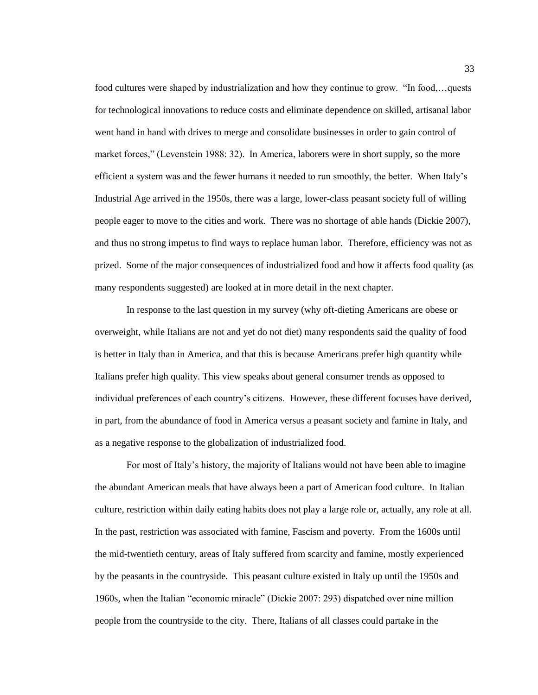food cultures were shaped by industrialization and how they continue to grow. "In food,...quests for technological innovations to reduce costs and eliminate dependence on skilled, artisanal labor went hand in hand with drives to merge and consolidate businesses in order to gain control of market forces," (Levenstein 1988: 32). In America, laborers were in short supply, so the more efficient a system was and the fewer humans it needed to run smoothly, the better. When Italy's Industrial Age arrived in the 1950s, there was a large, lower-class peasant society full of willing people eager to move to the cities and work. There was no shortage of able hands (Dickie 2007), and thus no strong impetus to find ways to replace human labor. Therefore, efficiency was not as prized. Some of the major consequences of industrialized food and how it affects food quality (as many respondents suggested) are looked at in more detail in the next chapter.

In response to the last question in my survey (why oft-dieting Americans are obese or overweight, while Italians are not and yet do not diet) many respondents said the quality of food is better in Italy than in America, and that this is because Americans prefer high quantity while Italians prefer high quality. This view speaks about general consumer trends as opposed to individual preferences of each country's citizens. However, these different focuses have derived, in part, from the abundance of food in America versus a peasant society and famine in Italy, and as a negative response to the globalization of industrialized food.

For most of Italy's history, the majority of Italians would not have been able to imagine the abundant American meals that have always been a part of American food culture. In Italian culture, restriction within daily eating habits does not play a large role or, actually, any role at all. In the past, restriction was associated with famine, Fascism and poverty. From the 1600s until the mid-twentieth century, areas of Italy suffered from scarcity and famine, mostly experienced by the peasants in the countryside. This peasant culture existed in Italy up until the 1950s and 1960s, when the Italian "economic miracle" (Dickie 2007: 293) dispatched over nine million people from the countryside to the city. There, Italians of all classes could partake in the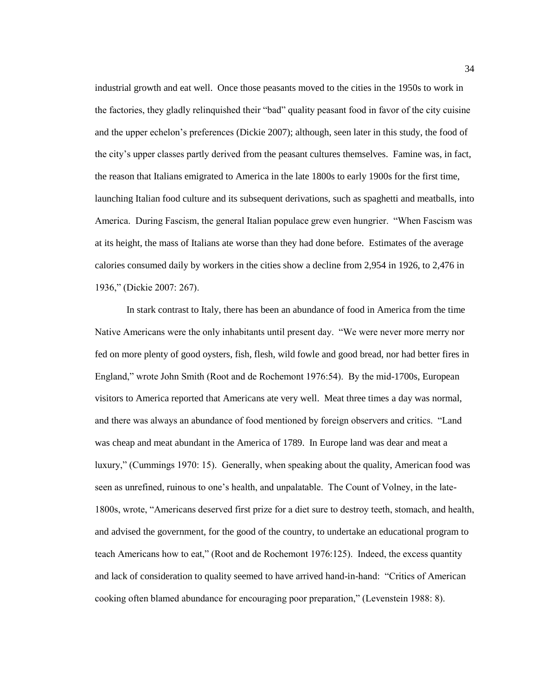industrial growth and eat well. Once those peasants moved to the cities in the 1950s to work in the factories, they gladly relinquished their "bad" quality peasant food in favor of the city cuisine and the upper echelon's preferences (Dickie 2007); although, seen later in this study, the food of the city's upper classes partly derived from the peasant cultures themselves. Famine was, in fact, the reason that Italians emigrated to America in the late 1800s to early 1900s for the first time, launching Italian food culture and its subsequent derivations, such as spaghetti and meatballs, into America. During Fascism, the general Italian populace grew even hungrier. "When Fascism was at its height, the mass of Italians ate worse than they had done before. Estimates of the average calories consumed daily by workers in the cities show a decline from 2,954 in 1926, to 2,476 in 1936," (Dickie 2007: 267).

In stark contrast to Italy, there has been an abundance of food in America from the time Native Americans were the only inhabitants until present day. "We were never more merry nor fed on more plenty of good oysters, fish, flesh, wild fowle and good bread, nor had better fires in England," wrote John Smith (Root and de Rochemont 1976:54). By the mid-1700s, European visitors to America reported that Americans ate very well. Meat three times a day was normal, and there was always an abundance of food mentioned by foreign observers and critics. "Land was cheap and meat abundant in the America of 1789. In Europe land was dear and meat a luxury," (Cummings 1970: 15). Generally, when speaking about the quality, American food was seen as unrefined, ruinous to one's health, and unpalatable. The Count of Volney, in the late-1800s, wrote, "Americans deserved first prize for a diet sure to destroy teeth, stomach, and health, and advised the government, for the good of the country, to undertake an educational program to teach Americans how to eat," (Root and de Rochemont 1976:125). Indeed, the excess quantity and lack of consideration to quality seemed to have arrived hand-in-hand: "Critics of American cooking often blamed abundance for encouraging poor preparation," (Levenstein 1988: 8).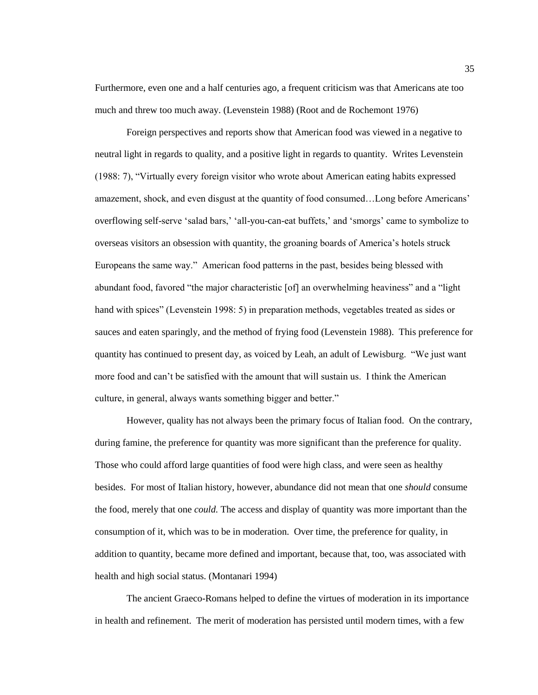Furthermore, even one and a half centuries ago, a frequent criticism was that Americans ate too much and threw too much away. (Levenstein 1988) (Root and de Rochemont 1976)

Foreign perspectives and reports show that American food was viewed in a negative to neutral light in regards to quality, and a positive light in regards to quantity. Writes Levenstein (1988: 7), "Virtually every foreign visitor who wrote about American eating habits expressed amazement, shock, and even disgust at the quantity of food consumed…Long before Americans' overflowing self-serve ‗salad bars,' ‗all-you-can-eat buffets,' and ‗smorgs' came to symbolize to overseas visitors an obsession with quantity, the groaning boards of America's hotels struck Europeans the same way." American food patterns in the past, besides being blessed with abundant food, favored "the major characteristic [of] an overwhelming heaviness" and a "light" hand with spices" (Levenstein 1998: 5) in preparation methods, vegetables treated as sides or sauces and eaten sparingly, and the method of frying food (Levenstein 1988). This preference for quantity has continued to present day, as voiced by Leah, an adult of Lewisburg. ―We just want more food and can't be satisfied with the amount that will sustain us. I think the American culture, in general, always wants something bigger and better."

However, quality has not always been the primary focus of Italian food. On the contrary, during famine, the preference for quantity was more significant than the preference for quality. Those who could afford large quantities of food were high class, and were seen as healthy besides. For most of Italian history, however, abundance did not mean that one *should* consume the food, merely that one *could.* The access and display of quantity was more important than the consumption of it, which was to be in moderation. Over time, the preference for quality, in addition to quantity, became more defined and important, because that, too, was associated with health and high social status. (Montanari 1994)

The ancient Graeco-Romans helped to define the virtues of moderation in its importance in health and refinement. The merit of moderation has persisted until modern times, with a few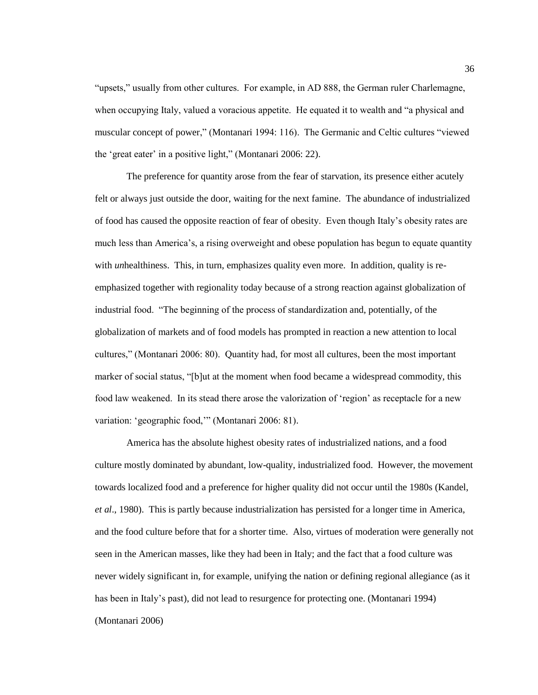"upsets," usually from other cultures. For example, in AD 888, the German ruler Charlemagne, when occupying Italy, valued a voracious appetite. He equated it to wealth and "a physical and muscular concept of power," (Montanari 1994: 116). The Germanic and Celtic cultures "viewed the 'great eater' in a positive light," (Montanari 2006: 22).

The preference for quantity arose from the fear of starvation, its presence either acutely felt or always just outside the door, waiting for the next famine. The abundance of industrialized of food has caused the opposite reaction of fear of obesity. Even though Italy's obesity rates are much less than America's, a rising overweight and obese population has begun to equate quantity with *unhealthiness.* This, in turn, emphasizes quality even more. In addition, quality is reemphasized together with regionality today because of a strong reaction against globalization of industrial food. "The beginning of the process of standardization and, potentially, of the globalization of markets and of food models has prompted in reaction a new attention to local cultures," (Montanari 2006: 80). Quantity had, for most all cultures, been the most important marker of social status, "[b]ut at the moment when food became a widespread commodity, this food law weakened. In its stead there arose the valorization of 'region' as receptacle for a new variation: 'geographic food,'" (Montanari 2006: 81).

America has the absolute highest obesity rates of industrialized nations, and a food culture mostly dominated by abundant, low-quality, industrialized food. However, the movement towards localized food and a preference for higher quality did not occur until the 1980s (Kandel, *et al*., 1980). This is partly because industrialization has persisted for a longer time in America, and the food culture before that for a shorter time. Also, virtues of moderation were generally not seen in the American masses, like they had been in Italy; and the fact that a food culture was never widely significant in, for example, unifying the nation or defining regional allegiance (as it has been in Italy's past), did not lead to resurgence for protecting one. (Montanari 1994) (Montanari 2006)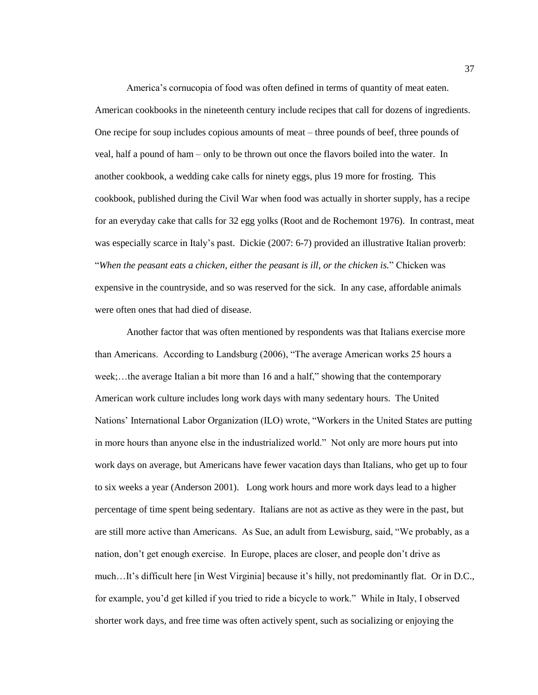America's cornucopia of food was often defined in terms of quantity of meat eaten. American cookbooks in the nineteenth century include recipes that call for dozens of ingredients. One recipe for soup includes copious amounts of meat – three pounds of beef, three pounds of veal, half a pound of ham – only to be thrown out once the flavors boiled into the water. In another cookbook, a wedding cake calls for ninety eggs, plus 19 more for frosting. This cookbook, published during the Civil War when food was actually in shorter supply, has a recipe for an everyday cake that calls for 32 egg yolks (Root and de Rochemont 1976). In contrast, meat was especially scarce in Italy's past. Dickie (2007: 6-7) provided an illustrative Italian proverb: ―*When the peasant eats a chicken, either the peasant is ill, or the chicken is.*‖ Chicken was expensive in the countryside, and so was reserved for the sick. In any case, affordable animals were often ones that had died of disease.

Another factor that was often mentioned by respondents was that Italians exercise more than Americans. According to Landsburg (2006), "The average American works 25 hours a week;...the average Italian a bit more than 16 and a half," showing that the contemporary American work culture includes long work days with many sedentary hours. The United Nations' International Labor Organization (ILO) wrote, "Workers in the United States are putting in more hours than anyone else in the industrialized world." Not only are more hours put into work days on average, but Americans have fewer vacation days than Italians, who get up to four to six weeks a year (Anderson 2001). Long work hours and more work days lead to a higher percentage of time spent being sedentary. Italians are not as active as they were in the past, but are still more active than Americans. As Sue, an adult from Lewisburg, said, "We probably, as a nation, don't get enough exercise. In Europe, places are closer, and people don't drive as much…It's difficult here [in West Virginia] because it's hilly, not predominantly flat. Or in D.C., for example, you'd get killed if you tried to ride a bicycle to work." While in Italy, I observed shorter work days, and free time was often actively spent, such as socializing or enjoying the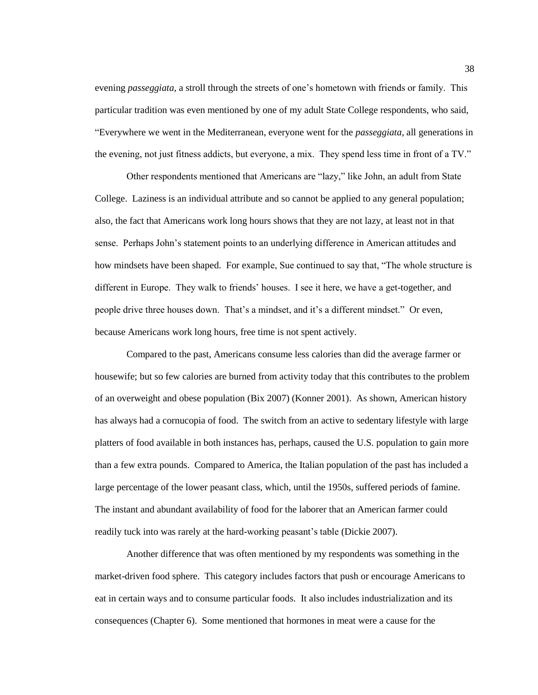evening *passeggiata,* a stroll through the streets of one's hometown with friends or family. This particular tradition was even mentioned by one of my adult State College respondents, who said, ―Everywhere we went in the Mediterranean, everyone went for the *passeggiata*, all generations in the evening, not just fitness addicts, but everyone, a mix. They spend less time in front of a TV."

Other respondents mentioned that Americans are "lazy," like John, an adult from State College. Laziness is an individual attribute and so cannot be applied to any general population; also, the fact that Americans work long hours shows that they are not lazy, at least not in that sense. Perhaps John's statement points to an underlying difference in American attitudes and how mindsets have been shaped. For example, Sue continued to say that, "The whole structure is different in Europe. They walk to friends' houses. I see it here, we have a get-together, and people drive three houses down. That's a mindset, and it's a different mindset." Or even, because Americans work long hours, free time is not spent actively.

Compared to the past, Americans consume less calories than did the average farmer or housewife; but so few calories are burned from activity today that this contributes to the problem of an overweight and obese population (Bix 2007) (Konner 2001). As shown, American history has always had a cornucopia of food. The switch from an active to sedentary lifestyle with large platters of food available in both instances has, perhaps, caused the U.S. population to gain more than a few extra pounds. Compared to America, the Italian population of the past has included a large percentage of the lower peasant class, which, until the 1950s, suffered periods of famine. The instant and abundant availability of food for the laborer that an American farmer could readily tuck into was rarely at the hard-working peasant's table (Dickie 2007).

Another difference that was often mentioned by my respondents was something in the market-driven food sphere. This category includes factors that push or encourage Americans to eat in certain ways and to consume particular foods. It also includes industrialization and its consequences (Chapter 6). Some mentioned that hormones in meat were a cause for the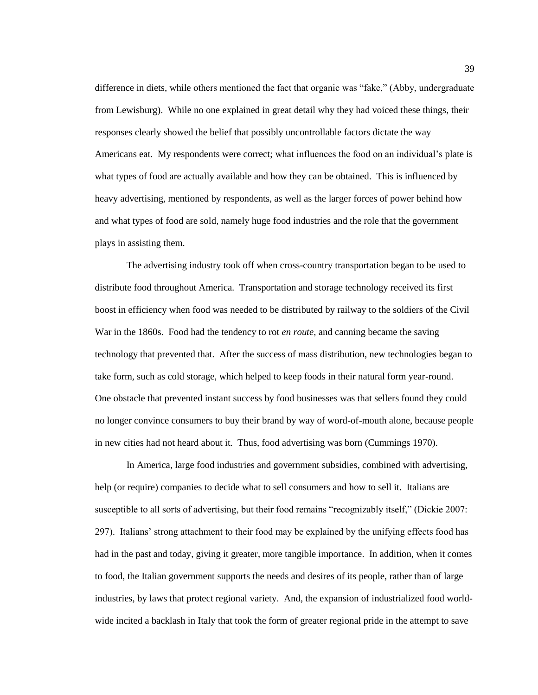difference in diets, while others mentioned the fact that organic was "fake," (Abby, undergraduate from Lewisburg). While no one explained in great detail why they had voiced these things, their responses clearly showed the belief that possibly uncontrollable factors dictate the way Americans eat. My respondents were correct; what influences the food on an individual's plate is what types of food are actually available and how they can be obtained. This is influenced by heavy advertising, mentioned by respondents, as well as the larger forces of power behind how and what types of food are sold, namely huge food industries and the role that the government plays in assisting them.

The advertising industry took off when cross-country transportation began to be used to distribute food throughout America. Transportation and storage technology received its first boost in efficiency when food was needed to be distributed by railway to the soldiers of the Civil War in the 1860s. Food had the tendency to rot *en route*, and canning became the saving technology that prevented that. After the success of mass distribution, new technologies began to take form, such as cold storage, which helped to keep foods in their natural form year-round. One obstacle that prevented instant success by food businesses was that sellers found they could no longer convince consumers to buy their brand by way of word-of-mouth alone, because people in new cities had not heard about it. Thus, food advertising was born (Cummings 1970).

In America, large food industries and government subsidies, combined with advertising, help (or require) companies to decide what to sell consumers and how to sell it. Italians are susceptible to all sorts of advertising, but their food remains "recognizably itself," (Dickie 2007: 297). Italians' strong attachment to their food may be explained by the unifying effects food has had in the past and today, giving it greater, more tangible importance. In addition, when it comes to food, the Italian government supports the needs and desires of its people, rather than of large industries, by laws that protect regional variety. And, the expansion of industrialized food worldwide incited a backlash in Italy that took the form of greater regional pride in the attempt to save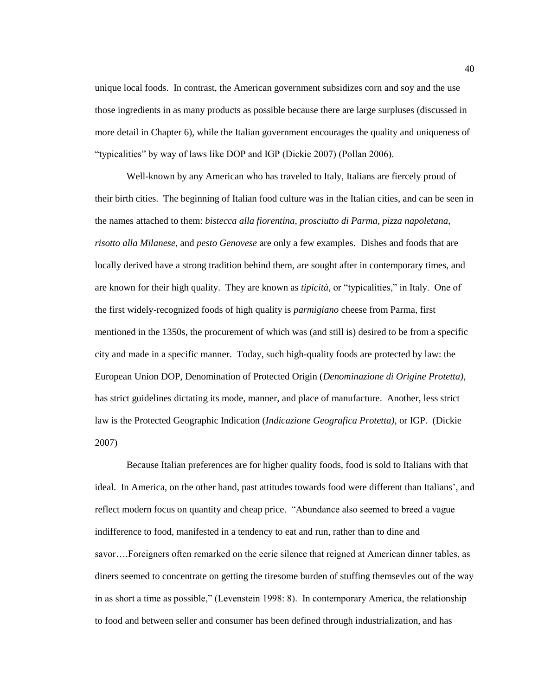unique local foods. In contrast, the American government subsidizes corn and soy and the use those ingredients in as many products as possible because there are large surpluses (discussed in more detail in Chapter 6), while the Italian government encourages the quality and uniqueness of "typicalities" by way of laws like DOP and IGP (Dickie 2007) (Pollan 2006).

Well-known by any American who has traveled to Italy, Italians are fiercely proud of their birth cities. The beginning of Italian food culture was in the Italian cities, and can be seen in the names attached to them: *bistecca alla fiorentina, prosciutto di Parma, pizza napoletana, risotto alla Milanese,* and *pesto Genovese* are only a few examples. Dishes and foods that are locally derived have a strong tradition behind them, are sought after in contemporary times, and are known for their high quality. They are known as *tipicità*, or "typicalities," in Italy. One of the first widely-recognized foods of high quality is *parmigiano* cheese from Parma*,* first mentioned in the 1350s, the procurement of which was (and still is) desired to be from a specific city and made in a specific manner. Today, such high-quality foods are protected by law: the European Union DOP, Denomination of Protected Origin (*Denominazione di Origine Protetta)*, has strict guidelines dictating its mode, manner, and place of manufacture. Another, less strict law is the Protected Geographic Indication (*Indicazione Geografica Protetta)*, or IGP. (Dickie 2007)

Because Italian preferences are for higher quality foods, food is sold to Italians with that ideal. In America, on the other hand, past attitudes towards food were different than Italians', and reflect modern focus on quantity and cheap price. "Abundance also seemed to breed a vague indifference to food, manifested in a tendency to eat and run, rather than to dine and savor….Foreigners often remarked on the eerie silence that reigned at American dinner tables, as diners seemed to concentrate on getting the tiresome burden of stuffing themsevles out of the way in as short a time as possible," (Levenstein 1998: 8). In contemporary America, the relationship to food and between seller and consumer has been defined through industrialization, and has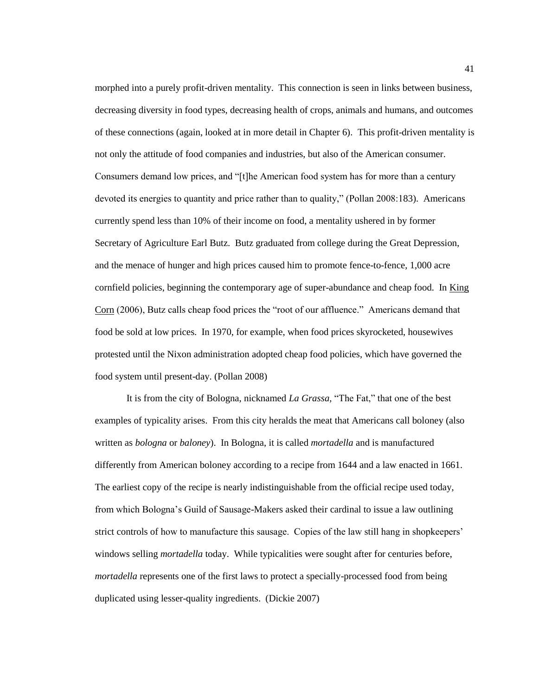morphed into a purely profit-driven mentality. This connection is seen in links between business, decreasing diversity in food types, decreasing health of crops, animals and humans, and outcomes of these connections (again, looked at in more detail in Chapter 6). This profit-driven mentality is not only the attitude of food companies and industries, but also of the American consumer. Consumers demand low prices, and "[t]he American food system has for more than a century devoted its energies to quantity and price rather than to quality," (Pollan 2008:183). Americans currently spend less than 10% of their income on food, a mentality ushered in by former Secretary of Agriculture Earl Butz. Butz graduated from college during the Great Depression, and the menace of hunger and high prices caused him to promote fence-to-fence, 1,000 acre cornfield policies, beginning the contemporary age of super-abundance and cheap food. In King Corn (2006), Butz calls cheap food prices the "root of our affluence." Americans demand that food be sold at low prices. In 1970, for example, when food prices skyrocketed, housewives protested until the Nixon administration adopted cheap food policies, which have governed the food system until present-day. (Pollan 2008)

It is from the city of Bologna, nicknamed *La Grassa*, "The Fat," that one of the best examples of typicality arises. From this city heralds the meat that Americans call boloney (also written as *bologna* or *baloney*). In Bologna, it is called *mortadella* and is manufactured differently from American boloney according to a recipe from 1644 and a law enacted in 1661. The earliest copy of the recipe is nearly indistinguishable from the official recipe used today, from which Bologna's Guild of Sausage-Makers asked their cardinal to issue a law outlining strict controls of how to manufacture this sausage. Copies of the law still hang in shopkeepers' windows selling *mortadella* today. While typicalities were sought after for centuries before, *mortadella* represents one of the first laws to protect a specially-processed food from being duplicated using lesser-quality ingredients. (Dickie 2007)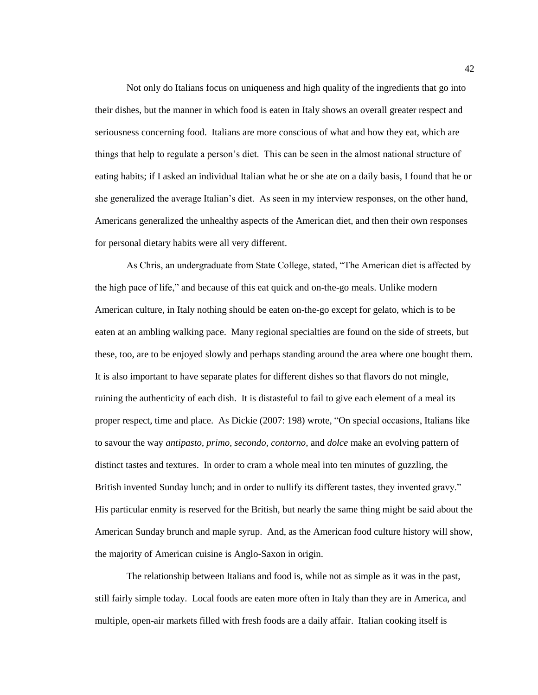Not only do Italians focus on uniqueness and high quality of the ingredients that go into their dishes, but the manner in which food is eaten in Italy shows an overall greater respect and seriousness concerning food. Italians are more conscious of what and how they eat, which are things that help to regulate a person's diet. This can be seen in the almost national structure of eating habits; if I asked an individual Italian what he or she ate on a daily basis, I found that he or she generalized the average Italian's diet. As seen in my interview responses, on the other hand, Americans generalized the unhealthy aspects of the American diet, and then their own responses for personal dietary habits were all very different.

As Chris, an undergraduate from State College, stated, "The American diet is affected by the high pace of life," and because of this eat quick and on-the-go meals. Unlike modern American culture, in Italy nothing should be eaten on-the-go except for gelato, which is to be eaten at an ambling walking pace. Many regional specialties are found on the side of streets, but these, too, are to be enjoyed slowly and perhaps standing around the area where one bought them. It is also important to have separate plates for different dishes so that flavors do not mingle, ruining the authenticity of each dish. It is distasteful to fail to give each element of a meal its proper respect, time and place. As Dickie (2007: 198) wrote, "On special occasions, Italians like to savour the way *antipasto, primo, secondo, contorno,* and *dolce* make an evolving pattern of distinct tastes and textures. In order to cram a whole meal into ten minutes of guzzling, the British invented Sunday lunch; and in order to nullify its different tastes, they invented gravy." His particular enmity is reserved for the British, but nearly the same thing might be said about the American Sunday brunch and maple syrup. And, as the American food culture history will show, the majority of American cuisine is Anglo-Saxon in origin.

The relationship between Italians and food is, while not as simple as it was in the past, still fairly simple today. Local foods are eaten more often in Italy than they are in America, and multiple, open-air markets filled with fresh foods are a daily affair. Italian cooking itself is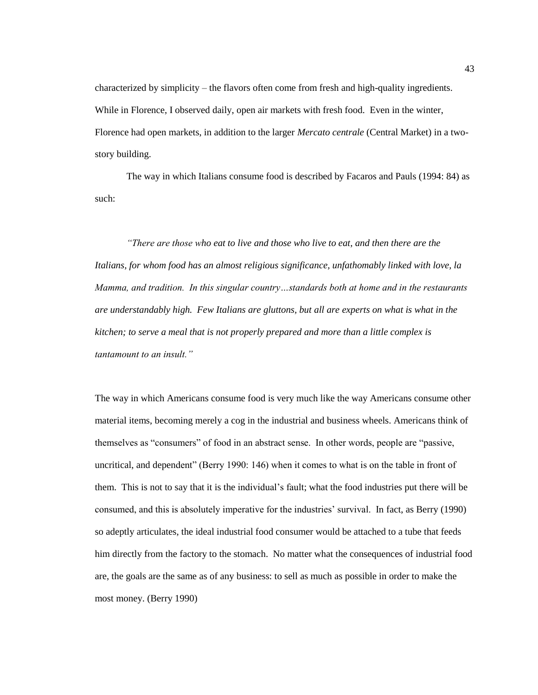characterized by simplicity – the flavors often come from fresh and high-quality ingredients. While in Florence, I observed daily, open air markets with fresh food. Even in the winter, Florence had open markets, in addition to the larger *Mercato centrale* (Central Market) in a twostory building.

The way in which Italians consume food is described by Facaros and Pauls (1994: 84) as such:

*"There are those who eat to live and those who live to eat, and then there are the Italians, for whom food has an almost religious significance, unfathomably linked with love, la Mamma, and tradition. In this singular country…standards both at home and in the restaurants are understandably high. Few Italians are gluttons, but all are experts on what is what in the kitchen; to serve a meal that is not properly prepared and more than a little complex is tantamount to an insult."*

The way in which Americans consume food is very much like the way Americans consume other material items, becoming merely a cog in the industrial and business wheels. Americans think of themselves as "consumers" of food in an abstract sense. In other words, people are "passive, uncritical, and dependent" (Berry 1990: 146) when it comes to what is on the table in front of them. This is not to say that it is the individual's fault; what the food industries put there will be consumed, and this is absolutely imperative for the industries' survival. In fact, as Berry (1990) so adeptly articulates, the ideal industrial food consumer would be attached to a tube that feeds him directly from the factory to the stomach. No matter what the consequences of industrial food are, the goals are the same as of any business: to sell as much as possible in order to make the most money. (Berry 1990)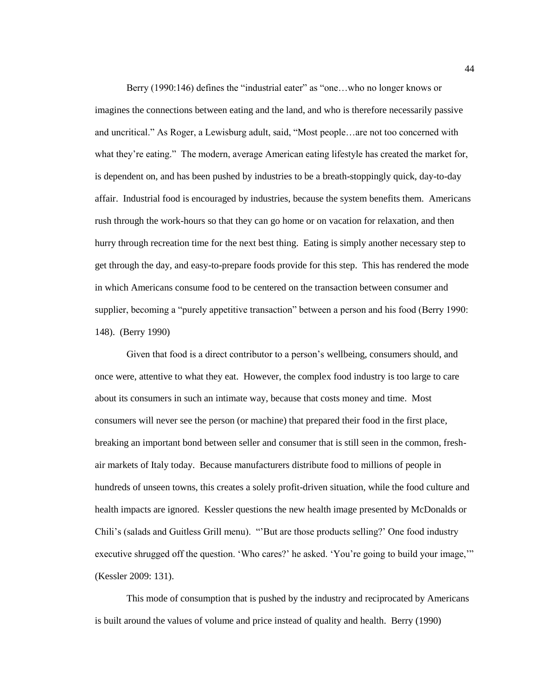Berry (1990:146) defines the "industrial eater" as "one...who no longer knows or imagines the connections between eating and the land, and who is therefore necessarily passive and uncritical." As Roger, a Lewisburg adult, said, "Most people…are not too concerned with what they're eating." The modern, average American eating lifestyle has created the market for, is dependent on, and has been pushed by industries to be a breath-stoppingly quick, day-to-day affair. Industrial food is encouraged by industries, because the system benefits them. Americans rush through the work-hours so that they can go home or on vacation for relaxation, and then hurry through recreation time for the next best thing. Eating is simply another necessary step to get through the day, and easy-to-prepare foods provide for this step. This has rendered the mode in which Americans consume food to be centered on the transaction between consumer and supplier, becoming a "purely appetitive transaction" between a person and his food (Berry 1990: 148). (Berry 1990)

Given that food is a direct contributor to a person's wellbeing, consumers should, and once were, attentive to what they eat. However, the complex food industry is too large to care about its consumers in such an intimate way, because that costs money and time. Most consumers will never see the person (or machine) that prepared their food in the first place, breaking an important bond between seller and consumer that is still seen in the common, freshair markets of Italy today. Because manufacturers distribute food to millions of people in hundreds of unseen towns, this creates a solely profit-driven situation, while the food culture and health impacts are ignored. Kessler questions the new health image presented by McDonalds or Chili's (salads and Guitless Grill menu). "But are those products selling?' One food industry executive shrugged off the question. 'Who cares?' he asked. 'You're going to build your image,'" (Kessler 2009: 131).

This mode of consumption that is pushed by the industry and reciprocated by Americans is built around the values of volume and price instead of quality and health. Berry (1990)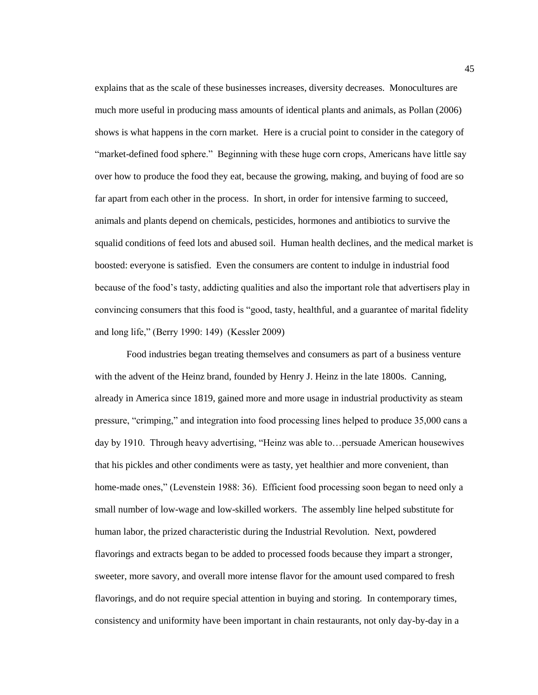explains that as the scale of these businesses increases, diversity decreases. Monocultures are much more useful in producing mass amounts of identical plants and animals, as Pollan (2006) shows is what happens in the corn market. Here is a crucial point to consider in the category of "market-defined food sphere." Beginning with these huge corn crops, Americans have little say over how to produce the food they eat, because the growing, making, and buying of food are so far apart from each other in the process. In short, in order for intensive farming to succeed, animals and plants depend on chemicals, pesticides, hormones and antibiotics to survive the squalid conditions of feed lots and abused soil. Human health declines, and the medical market is boosted: everyone is satisfied. Even the consumers are content to indulge in industrial food because of the food's tasty, addicting qualities and also the important role that advertisers play in convincing consumers that this food is "good, tasty, healthful, and a guarantee of marital fidelity and long life," (Berry 1990: 149) (Kessler 2009)

Food industries began treating themselves and consumers as part of a business venture with the advent of the Heinz brand, founded by Henry J. Heinz in the late 1800s. Canning, already in America since 1819, gained more and more usage in industrial productivity as steam pressure, "crimping," and integration into food processing lines helped to produce 35,000 cans a day by 1910. Through heavy advertising, "Heinz was able to... persuade American housewives that his pickles and other condiments were as tasty, yet healthier and more convenient, than home-made ones," (Levenstein 1988: 36). Efficient food processing soon began to need only a small number of low-wage and low-skilled workers. The assembly line helped substitute for human labor, the prized characteristic during the Industrial Revolution. Next, powdered flavorings and extracts began to be added to processed foods because they impart a stronger, sweeter, more savory, and overall more intense flavor for the amount used compared to fresh flavorings, and do not require special attention in buying and storing. In contemporary times, consistency and uniformity have been important in chain restaurants, not only day-by-day in a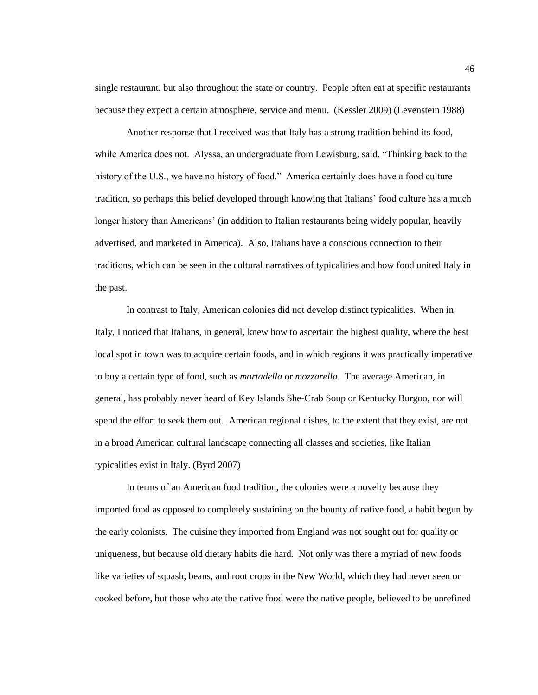single restaurant, but also throughout the state or country. People often eat at specific restaurants because they expect a certain atmosphere, service and menu. (Kessler 2009) (Levenstein 1988)

Another response that I received was that Italy has a strong tradition behind its food, while America does not. Alyssa, an undergraduate from Lewisburg, said, "Thinking back to the history of the U.S., we have no history of food." America certainly does have a food culture tradition, so perhaps this belief developed through knowing that Italians' food culture has a much longer history than Americans' (in addition to Italian restaurants being widely popular, heavily advertised, and marketed in America). Also, Italians have a conscious connection to their traditions, which can be seen in the cultural narratives of typicalities and how food united Italy in the past.

In contrast to Italy, American colonies did not develop distinct typicalities. When in Italy, I noticed that Italians, in general, knew how to ascertain the highest quality, where the best local spot in town was to acquire certain foods, and in which regions it was practically imperative to buy a certain type of food, such as *mortadella* or *mozzarella*. The average American, in general, has probably never heard of Key Islands She-Crab Soup or Kentucky Burgoo, nor will spend the effort to seek them out. American regional dishes, to the extent that they exist, are not in a broad American cultural landscape connecting all classes and societies, like Italian typicalities exist in Italy. (Byrd 2007)

In terms of an American food tradition, the colonies were a novelty because they imported food as opposed to completely sustaining on the bounty of native food, a habit begun by the early colonists. The cuisine they imported from England was not sought out for quality or uniqueness, but because old dietary habits die hard. Not only was there a myriad of new foods like varieties of squash, beans, and root crops in the New World, which they had never seen or cooked before, but those who ate the native food were the native people, believed to be unrefined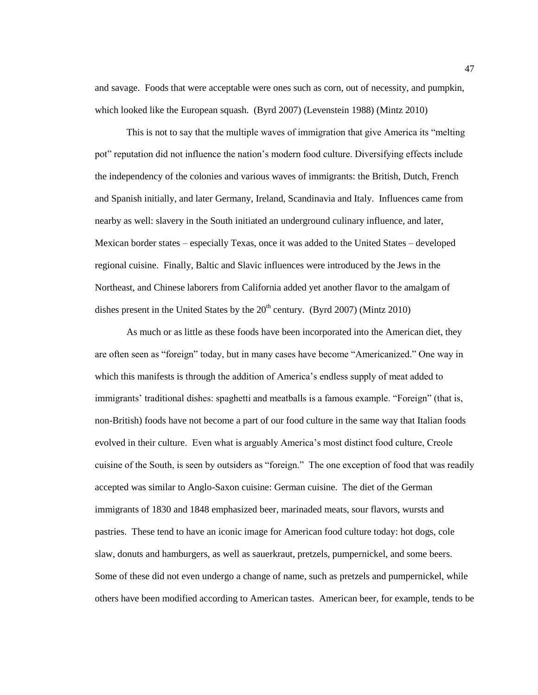and savage. Foods that were acceptable were ones such as corn, out of necessity, and pumpkin, which looked like the European squash. (Byrd 2007) (Levenstein 1988) (Mintz 2010)

This is not to say that the multiple waves of immigration that give America its "melting" pot" reputation did not influence the nation's modern food culture. Diversifying effects include the independency of the colonies and various waves of immigrants: the British, Dutch, French and Spanish initially, and later Germany, Ireland, Scandinavia and Italy. Influences came from nearby as well: slavery in the South initiated an underground culinary influence, and later, Mexican border states – especially Texas, once it was added to the United States – developed regional cuisine. Finally, Baltic and Slavic influences were introduced by the Jews in the Northeast, and Chinese laborers from California added yet another flavor to the amalgam of dishes present in the United States by the  $20<sup>th</sup>$  century. (Byrd 2007) (Mintz 2010)

As much or as little as these foods have been incorporated into the American diet, they are often seen as "foreign" today, but in many cases have become "Americanized." One way in which this manifests is through the addition of America's endless supply of meat added to immigrants' traditional dishes: spaghetti and meatballs is a famous example. "Foreign" (that is, non-British) foods have not become a part of our food culture in the same way that Italian foods evolved in their culture. Even what is arguably America's most distinct food culture, Creole cuisine of the South, is seen by outsiders as "foreign." The one exception of food that was readily accepted was similar to Anglo-Saxon cuisine: German cuisine. The diet of the German immigrants of 1830 and 1848 emphasized beer, marinaded meats, sour flavors, wursts and pastries. These tend to have an iconic image for American food culture today: hot dogs, cole slaw, donuts and hamburgers, as well as sauerkraut, pretzels, pumpernickel, and some beers. Some of these did not even undergo a change of name, such as pretzels and pumpernickel, while others have been modified according to American tastes. American beer, for example, tends to be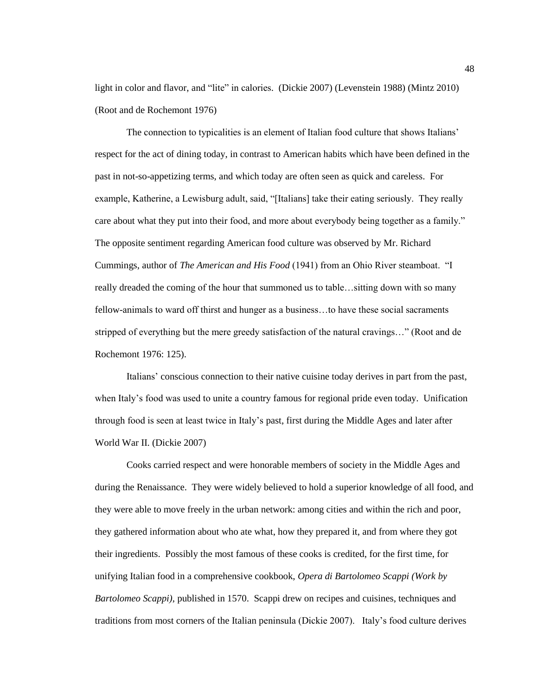light in color and flavor, and "lite" in calories. (Dickie 2007) (Levenstein 1988) (Mintz 2010) (Root and de Rochemont 1976)

The connection to typicalities is an element of Italian food culture that shows Italians' respect for the act of dining today, in contrast to American habits which have been defined in the past in not-so-appetizing terms, and which today are often seen as quick and careless. For example, Katherine, a Lewisburg adult, said, "[Italians] take their eating seriously. They really care about what they put into their food, and more about everybody being together as a family." The opposite sentiment regarding American food culture was observed by Mr. Richard Cummings, author of *The American and His Food* (1941) from an Ohio River steamboat. "I really dreaded the coming of the hour that summoned us to table…sitting down with so many fellow-animals to ward off thirst and hunger as a business…to have these social sacraments stripped of everything but the mere greedy satisfaction of the natural cravings..." (Root and de Rochemont 1976: 125).

Italians' conscious connection to their native cuisine today derives in part from the past, when Italy's food was used to unite a country famous for regional pride even today. Unification through food is seen at least twice in Italy's past, first during the Middle Ages and later after World War II. (Dickie 2007)

Cooks carried respect and were honorable members of society in the Middle Ages and during the Renaissance. They were widely believed to hold a superior knowledge of all food, and they were able to move freely in the urban network: among cities and within the rich and poor, they gathered information about who ate what, how they prepared it, and from where they got their ingredients. Possibly the most famous of these cooks is credited, for the first time, for unifying Italian food in a comprehensive cookbook, *Opera di Bartolomeo Scappi (Work by Bartolomeo Scappi)*, published in 1570. Scappi drew on recipes and cuisines, techniques and traditions from most corners of the Italian peninsula (Dickie 2007). Italy's food culture derives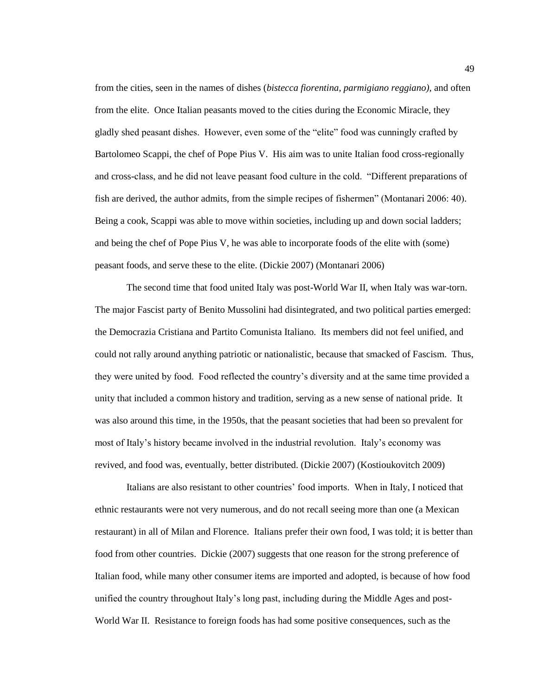from the cities, seen in the names of dishes (*bistecca fiorentina, parmigiano reggiano),* and often from the elite. Once Italian peasants moved to the cities during the Economic Miracle, they gladly shed peasant dishes. However, even some of the "elite" food was cunningly crafted by Bartolomeo Scappi, the chef of Pope Pius V. His aim was to unite Italian food cross-regionally and cross-class, and he did not leave peasant food culture in the cold. "Different preparations of fish are derived, the author admits, from the simple recipes of fishermen" (Montanari 2006: 40). Being a cook, Scappi was able to move within societies, including up and down social ladders; and being the chef of Pope Pius V, he was able to incorporate foods of the elite with (some) peasant foods, and serve these to the elite. (Dickie 2007) (Montanari 2006)

The second time that food united Italy was post-World War II, when Italy was war-torn. The major Fascist party of Benito Mussolini had disintegrated, and two political parties emerged: the Democrazia Cristiana and Partito Comunista Italiano. Its members did not feel unified, and could not rally around anything patriotic or nationalistic, because that smacked of Fascism. Thus, they were united by food. Food reflected the country's diversity and at the same time provided a unity that included a common history and tradition, serving as a new sense of national pride. It was also around this time, in the 1950s, that the peasant societies that had been so prevalent for most of Italy's history became involved in the industrial revolution. Italy's economy was revived, and food was, eventually, better distributed. (Dickie 2007) (Kostioukovitch 2009)

Italians are also resistant to other countries' food imports. When in Italy, I noticed that ethnic restaurants were not very numerous, and do not recall seeing more than one (a Mexican restaurant) in all of Milan and Florence. Italians prefer their own food, I was told; it is better than food from other countries. Dickie (2007) suggests that one reason for the strong preference of Italian food, while many other consumer items are imported and adopted, is because of how food unified the country throughout Italy's long past, including during the Middle Ages and post-World War II. Resistance to foreign foods has had some positive consequences, such as the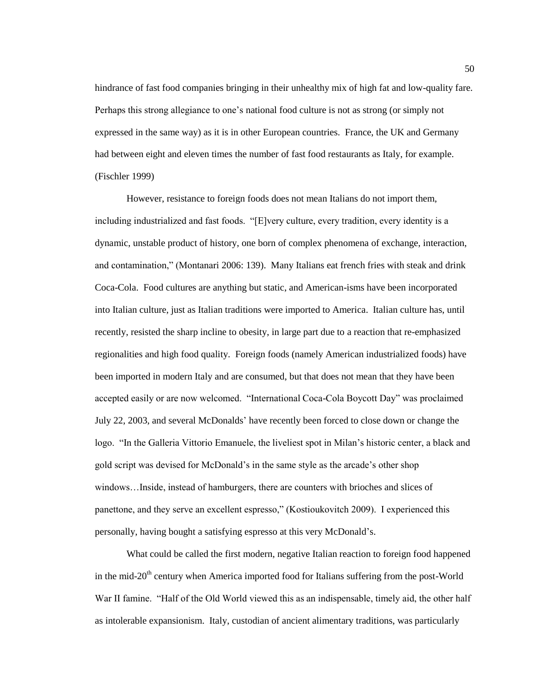hindrance of fast food companies bringing in their unhealthy mix of high fat and low-quality fare. Perhaps this strong allegiance to one's national food culture is not as strong (or simply not expressed in the same way) as it is in other European countries. France, the UK and Germany had between eight and eleven times the number of fast food restaurants as Italy, for example. (Fischler 1999)

However, resistance to foreign foods does not mean Italians do not import them, including industrialized and fast foods. "[E]very culture, every tradition, every identity is a dynamic, unstable product of history, one born of complex phenomena of exchange, interaction, and contamination," (Montanari 2006: 139). Many Italians eat french fries with steak and drink Coca-Cola. Food cultures are anything but static, and American-isms have been incorporated into Italian culture, just as Italian traditions were imported to America. Italian culture has, until recently, resisted the sharp incline to obesity, in large part due to a reaction that re-emphasized regionalities and high food quality. Foreign foods (namely American industrialized foods) have been imported in modern Italy and are consumed, but that does not mean that they have been accepted easily or are now welcomed. "International Coca-Cola Boycott Day" was proclaimed July 22, 2003, and several McDonalds' have recently been forced to close down or change the logo. "In the Galleria Vittorio Emanuele, the liveliest spot in Milan's historic center, a black and gold script was devised for McDonald's in the same style as the arcade's other shop windows…Inside, instead of hamburgers, there are counters with brioches and slices of panettone, and they serve an excellent espresso," (Kostioukovitch 2009). I experienced this personally, having bought a satisfying espresso at this very McDonald's.

What could be called the first modern, negative Italian reaction to foreign food happened in the mid-20<sup>th</sup> century when America imported food for Italians suffering from the post-World War II famine. "Half of the Old World viewed this as an indispensable, timely aid, the other half as intolerable expansionism. Italy, custodian of ancient alimentary traditions, was particularly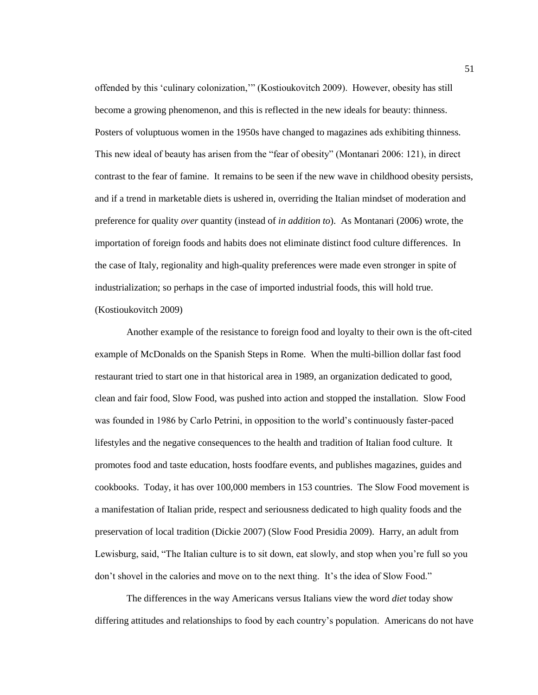offended by this 'culinary colonization," (Kostioukovitch 2009). However, obesity has still become a growing phenomenon, and this is reflected in the new ideals for beauty: thinness. Posters of voluptuous women in the 1950s have changed to magazines ads exhibiting thinness. This new ideal of beauty has arisen from the "fear of obesity" (Montanari 2006: 121), in direct contrast to the fear of famine. It remains to be seen if the new wave in childhood obesity persists, and if a trend in marketable diets is ushered in, overriding the Italian mindset of moderation and preference for quality *over* quantity (instead of *in addition to*). As Montanari (2006) wrote, the importation of foreign foods and habits does not eliminate distinct food culture differences. In the case of Italy, regionality and high-quality preferences were made even stronger in spite of industrialization; so perhaps in the case of imported industrial foods, this will hold true. (Kostioukovitch 2009)

Another example of the resistance to foreign food and loyalty to their own is the oft-cited example of McDonalds on the Spanish Steps in Rome. When the multi-billion dollar fast food restaurant tried to start one in that historical area in 1989, an organization dedicated to good, clean and fair food, Slow Food, was pushed into action and stopped the installation. Slow Food was founded in 1986 by Carlo Petrini, in opposition to the world's continuously faster-paced lifestyles and the negative consequences to the health and tradition of Italian food culture. It promotes food and taste education, hosts foodfare events, and publishes magazines, guides and cookbooks. Today, it has over 100,000 members in 153 countries. The Slow Food movement is a manifestation of Italian pride, respect and seriousness dedicated to high quality foods and the preservation of local tradition (Dickie 2007) (Slow Food Presidia 2009). Harry, an adult from Lewisburg, said, "The Italian culture is to sit down, eat slowly, and stop when you're full so you don't shovel in the calories and move on to the next thing. It's the idea of Slow Food."

The differences in the way Americans versus Italians view the word *diet* today show differing attitudes and relationships to food by each country's population. Americans do not have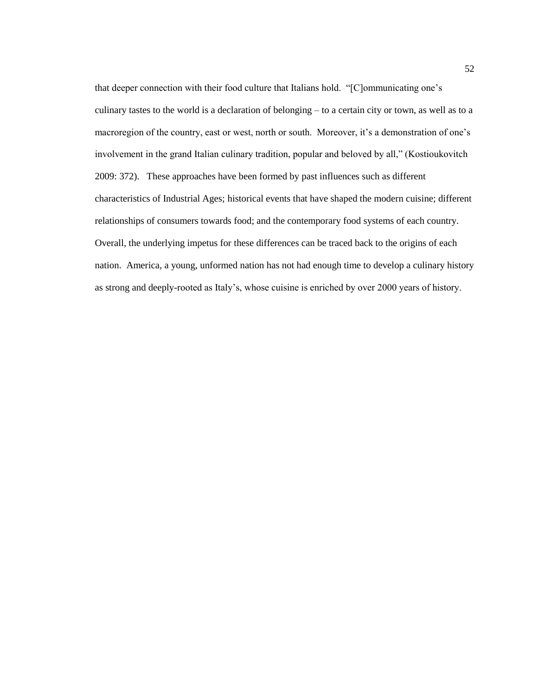that deeper connection with their food culture that Italians hold. "[C]ommunicating one's culinary tastes to the world is a declaration of belonging – to a certain city or town, as well as to a macroregion of the country, east or west, north or south. Moreover, it's a demonstration of one's involvement in the grand Italian culinary tradition, popular and beloved by all," (Kostioukovitch 2009: 372). These approaches have been formed by past influences such as different characteristics of Industrial Ages; historical events that have shaped the modern cuisine; different relationships of consumers towards food; and the contemporary food systems of each country. Overall, the underlying impetus for these differences can be traced back to the origins of each nation. America, a young, unformed nation has not had enough time to develop a culinary history as strong and deeply-rooted as Italy's, whose cuisine is enriched by over 2000 years of history.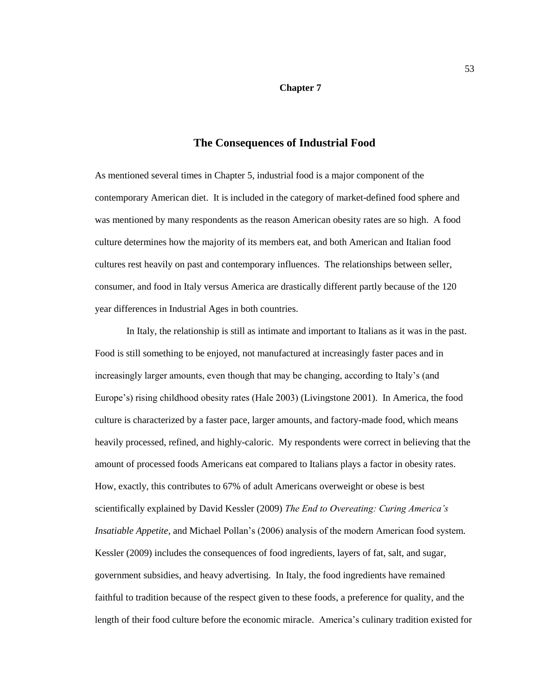## **Chapter 7**

## **The Consequences of Industrial Food**

As mentioned several times in Chapter 5, industrial food is a major component of the contemporary American diet. It is included in the category of market-defined food sphere and was mentioned by many respondents as the reason American obesity rates are so high. A food culture determines how the majority of its members eat, and both American and Italian food cultures rest heavily on past and contemporary influences. The relationships between seller, consumer, and food in Italy versus America are drastically different partly because of the 120 year differences in Industrial Ages in both countries.

In Italy, the relationship is still as intimate and important to Italians as it was in the past. Food is still something to be enjoyed, not manufactured at increasingly faster paces and in increasingly larger amounts, even though that may be changing, according to Italy's (and Europe's) rising childhood obesity rates (Hale 2003) (Livingstone 2001). In America, the food culture is characterized by a faster pace, larger amounts, and factory-made food, which means heavily processed, refined, and highly-caloric. My respondents were correct in believing that the amount of processed foods Americans eat compared to Italians plays a factor in obesity rates. How, exactly, this contributes to 67% of adult Americans overweight or obese is best scientifically explained by David Kessler (2009) *The End to Overeating: Curing America"s Insatiable Appetite,* and Michael Pollan's (2006) analysis of the modern American food system*.*  Kessler (2009) includes the consequences of food ingredients, layers of fat, salt, and sugar, government subsidies, and heavy advertising. In Italy, the food ingredients have remained faithful to tradition because of the respect given to these foods, a preference for quality, and the length of their food culture before the economic miracle. America's culinary tradition existed for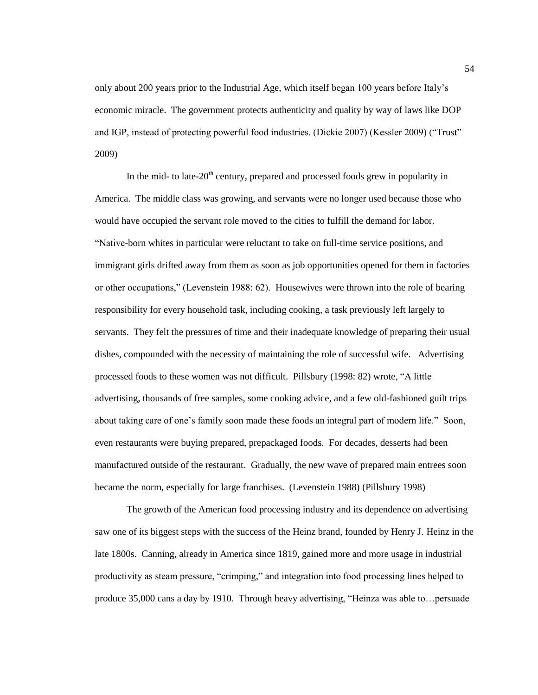only about 200 years prior to the Industrial Age, which itself began 100 years before Italy's economic miracle. The government protects authenticity and quality by way of laws like DOP and IGP, instead of protecting powerful food industries. (Dickie 2007) (Kessler 2009) ("Trust" 2009)

In the mid- to late- $20<sup>th</sup>$  century, prepared and processed foods grew in popularity in America. The middle class was growing, and servants were no longer used because those who would have occupied the servant role moved to the cities to fulfill the demand for labor. ―Native-born whites in particular were reluctant to take on full-time service positions, and immigrant girls drifted away from them as soon as job opportunities opened for them in factories or other occupations," (Levenstein 1988: 62). Housewives were thrown into the role of bearing responsibility for every household task, including cooking, a task previously left largely to servants. They felt the pressures of time and their inadequate knowledge of preparing their usual dishes, compounded with the necessity of maintaining the role of successful wife. Advertising processed foods to these women was not difficult. Pillsbury (1998: 82) wrote, "A little advertising, thousands of free samples, some cooking advice, and a few old-fashioned guilt trips about taking care of one's family soon made these foods an integral part of modern life." Soon, even restaurants were buying prepared, prepackaged foods. For decades, desserts had been manufactured outside of the restaurant. Gradually, the new wave of prepared main entrees soon became the norm, especially for large franchises. (Levenstein 1988) (Pillsbury 1998)

The growth of the American food processing industry and its dependence on advertising saw one of its biggest steps with the success of the Heinz brand, founded by Henry J. Heinz in the late 1800s. Canning, already in America since 1819, gained more and more usage in industrial productivity as steam pressure, "crimping," and integration into food processing lines helped to produce 35,000 cans a day by 1910. Through heavy advertising, "Heinza was able to... persuade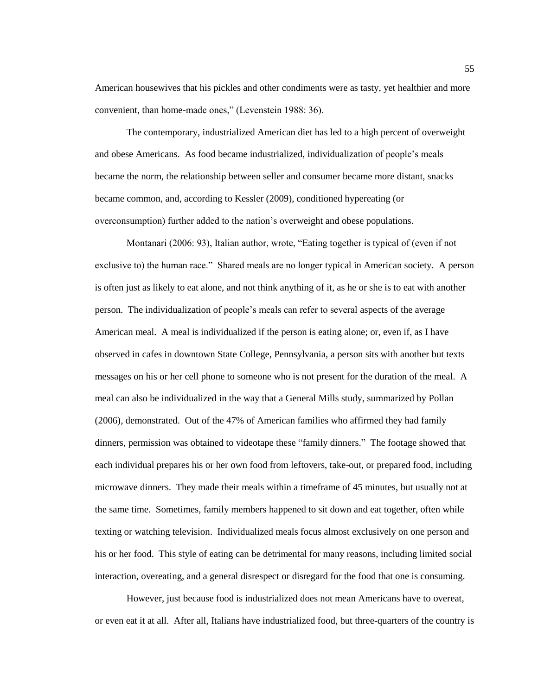American housewives that his pickles and other condiments were as tasty, yet healthier and more convenient, than home-made ones," (Levenstein 1988: 36).

The contemporary, industrialized American diet has led to a high percent of overweight and obese Americans. As food became industrialized, individualization of people's meals became the norm, the relationship between seller and consumer became more distant, snacks became common, and, according to Kessler (2009), conditioned hypereating (or overconsumption) further added to the nation's overweight and obese populations.

Montanari (2006: 93), Italian author, wrote, "Eating together is typical of (even if not exclusive to) the human race." Shared meals are no longer typical in American society. A person is often just as likely to eat alone, and not think anything of it, as he or she is to eat with another person. The individualization of people's meals can refer to several aspects of the average American meal. A meal is individualized if the person is eating alone; or, even if, as I have observed in cafes in downtown State College, Pennsylvania, a person sits with another but texts messages on his or her cell phone to someone who is not present for the duration of the meal. A meal can also be individualized in the way that a General Mills study, summarized by Pollan (2006), demonstrated. Out of the 47% of American families who affirmed they had family dinners, permission was obtained to videotape these "family dinners." The footage showed that each individual prepares his or her own food from leftovers, take-out, or prepared food, including microwave dinners. They made their meals within a timeframe of 45 minutes, but usually not at the same time. Sometimes, family members happened to sit down and eat together, often while texting or watching television. Individualized meals focus almost exclusively on one person and his or her food. This style of eating can be detrimental for many reasons, including limited social interaction, overeating, and a general disrespect or disregard for the food that one is consuming.

However, just because food is industrialized does not mean Americans have to overeat, or even eat it at all. After all, Italians have industrialized food, but three-quarters of the country is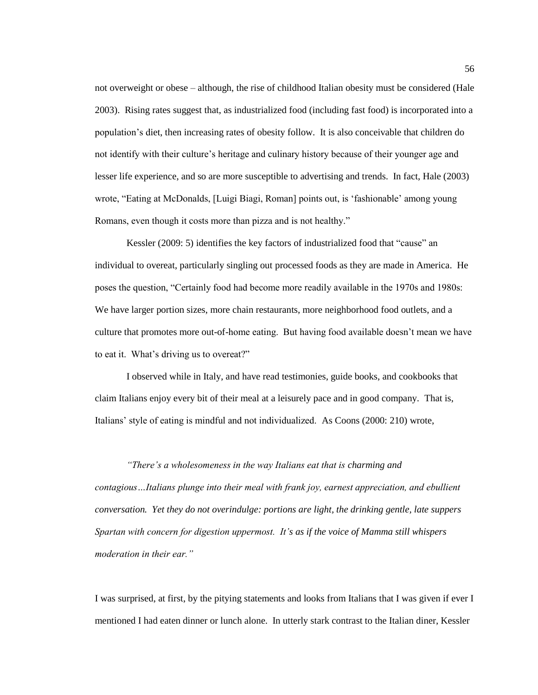not overweight or obese – although, the rise of childhood Italian obesity must be considered (Hale 2003). Rising rates suggest that, as industrialized food (including fast food) is incorporated into a population's diet, then increasing rates of obesity follow. It is also conceivable that children do not identify with their culture's heritage and culinary history because of their younger age and lesser life experience, and so are more susceptible to advertising and trends. In fact, Hale (2003) wrote, "Eating at McDonalds, [Luigi Biagi, Roman] points out, is 'fashionable' among young Romans, even though it costs more than pizza and is not healthy."

Kessler (2009: 5) identifies the key factors of industrialized food that "cause" an individual to overeat, particularly singling out processed foods as they are made in America. He poses the question, "Certainly food had become more readily available in the 1970s and 1980s: We have larger portion sizes, more chain restaurants, more neighborhood food outlets, and a culture that promotes more out-of-home eating. But having food available doesn't mean we have to eat it. What's driving us to overeat?"

I observed while in Italy, and have read testimonies, guide books, and cookbooks that claim Italians enjoy every bit of their meal at a leisurely pace and in good company. That is, Italians' style of eating is mindful and not individualized. As Coons (2000: 210) wrote,

*"There"s a wholesomeness in the way Italians eat that is charming and contagious…Italians plunge into their meal with frank joy, earnest appreciation, and ebullient conversation. Yet they do not overindulge: portions are light, the drinking gentle, late suppers Spartan with concern for digestion uppermost. It"s as if the voice of Mamma still whispers moderation in their ear."*

I was surprised, at first, by the pitying statements and looks from Italians that I was given if ever I mentioned I had eaten dinner or lunch alone. In utterly stark contrast to the Italian diner, Kessler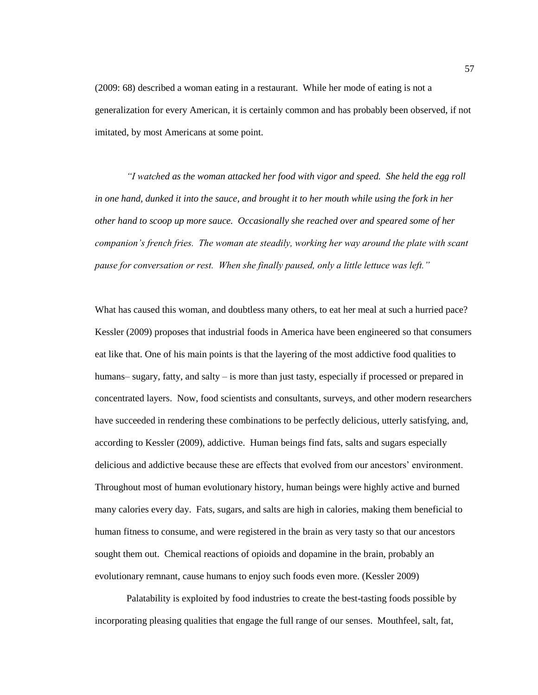(2009: 68) described a woman eating in a restaurant. While her mode of eating is not a generalization for every American, it is certainly common and has probably been observed, if not imitated, by most Americans at some point.

*"I watched as the woman attacked her food with vigor and speed. She held the egg roll in one hand, dunked it into the sauce, and brought it to her mouth while using the fork in her other hand to scoop up more sauce. Occasionally she reached over and speared some of her companion"s french fries. The woman ate steadily, working her way around the plate with scant pause for conversation or rest. When she finally paused, only a little lettuce was left."* 

What has caused this woman, and doubtless many others, to eat her meal at such a hurried pace? Kessler (2009) proposes that industrial foods in America have been engineered so that consumers eat like that. One of his main points is that the layering of the most addictive food qualities to humans– sugary, fatty, and salty – is more than just tasty, especially if processed or prepared in concentrated layers. Now, food scientists and consultants, surveys, and other modern researchers have succeeded in rendering these combinations to be perfectly delicious, utterly satisfying, and, according to Kessler (2009), addictive. Human beings find fats, salts and sugars especially delicious and addictive because these are effects that evolved from our ancestors' environment. Throughout most of human evolutionary history, human beings were highly active and burned many calories every day. Fats, sugars, and salts are high in calories, making them beneficial to human fitness to consume, and were registered in the brain as very tasty so that our ancestors sought them out. Chemical reactions of opioids and dopamine in the brain, probably an evolutionary remnant, cause humans to enjoy such foods even more. (Kessler 2009)

Palatability is exploited by food industries to create the best-tasting foods possible by incorporating pleasing qualities that engage the full range of our senses. Mouthfeel, salt, fat,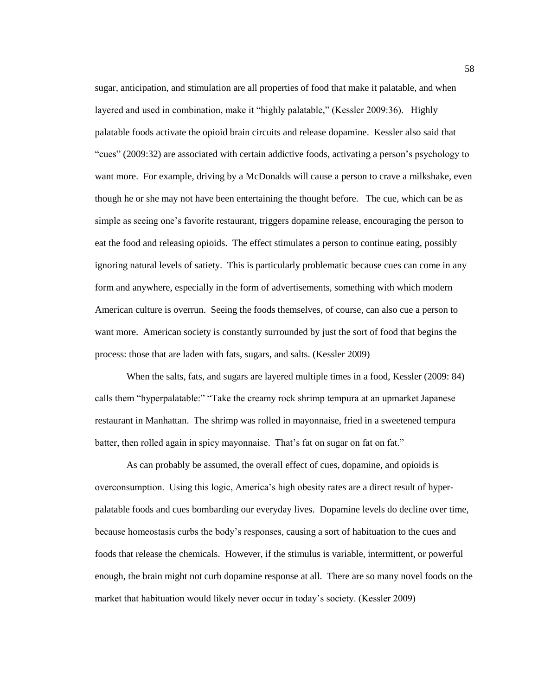sugar, anticipation, and stimulation are all properties of food that make it palatable, and when layered and used in combination, make it "highly palatable," (Kessler 2009:36). Highly palatable foods activate the opioid brain circuits and release dopamine. Kessler also said that ―cues‖ (2009:32) are associated with certain addictive foods, activating a person's psychology to want more. For example, driving by a McDonalds will cause a person to crave a milkshake, even though he or she may not have been entertaining the thought before. The cue, which can be as simple as seeing one's favorite restaurant, triggers dopamine release, encouraging the person to eat the food and releasing opioids. The effect stimulates a person to continue eating, possibly ignoring natural levels of satiety. This is particularly problematic because cues can come in any form and anywhere, especially in the form of advertisements, something with which modern American culture is overrun. Seeing the foods themselves, of course, can also cue a person to want more. American society is constantly surrounded by just the sort of food that begins the process: those that are laden with fats, sugars, and salts. (Kessler 2009)

When the salts, fats, and sugars are layered multiple times in a food, Kessler (2009: 84) calls them "hyperpalatable:" "Take the creamy rock shrimp tempura at an upmarket Japanese restaurant in Manhattan. The shrimp was rolled in mayonnaise, fried in a sweetened tempura batter, then rolled again in spicy mayonnaise. That's fat on sugar on fat on fat."

As can probably be assumed, the overall effect of cues, dopamine, and opioids is overconsumption. Using this logic, America's high obesity rates are a direct result of hyperpalatable foods and cues bombarding our everyday lives. Dopamine levels do decline over time, because homeostasis curbs the body's responses, causing a sort of habituation to the cues and foods that release the chemicals. However, if the stimulus is variable, intermittent, or powerful enough, the brain might not curb dopamine response at all. There are so many novel foods on the market that habituation would likely never occur in today's society. (Kessler 2009)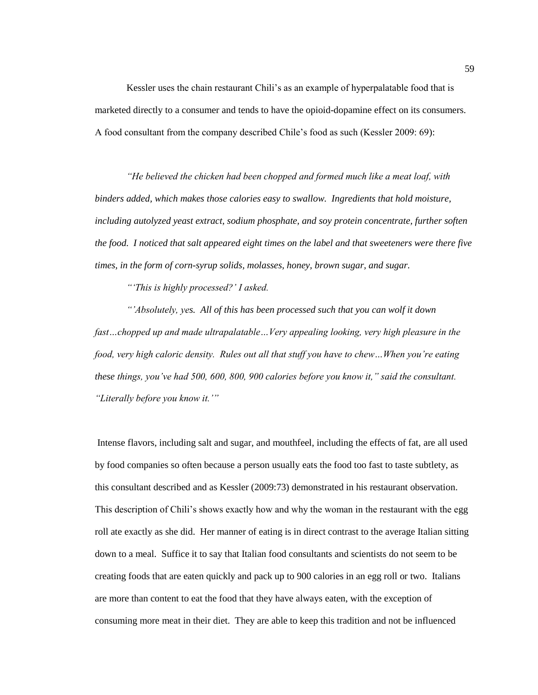Kessler uses the chain restaurant Chili's as an example of hyperpalatable food that is marketed directly to a consumer and tends to have the opioid-dopamine effect on its consumers. A food consultant from the company described Chile's food as such (Kessler 2009: 69):

*"He believed the chicken had been chopped and formed much like a meat loaf, with binders added, which makes those calories easy to swallow. Ingredients that hold moisture, including autolyzed yeast extract, sodium phosphate, and soy protein concentrate, further soften the food. I noticed that salt appeared eight times on the label and that sweeteners were there five times, in the form of corn-syrup solids, molasses, honey, brown sugar, and sugar.*

*""This is highly processed?" I asked.*

*""Absolutely, yes. All of this has been processed such that you can wolf it down fast…chopped up and made ultrapalatable…Very appealing looking, very high pleasure in the food, very high caloric density. Rules out all that stuff you have to chew…When you"re eating these things, you"ve had 500, 600, 800, 900 calories before you know it," said the consultant. "Literally before you know it.""*

Intense flavors, including salt and sugar, and mouthfeel, including the effects of fat, are all used by food companies so often because a person usually eats the food too fast to taste subtlety, as this consultant described and as Kessler (2009:73) demonstrated in his restaurant observation. This description of Chili's shows exactly how and why the woman in the restaurant with the egg roll ate exactly as she did. Her manner of eating is in direct contrast to the average Italian sitting down to a meal. Suffice it to say that Italian food consultants and scientists do not seem to be creating foods that are eaten quickly and pack up to 900 calories in an egg roll or two. Italians are more than content to eat the food that they have always eaten, with the exception of consuming more meat in their diet. They are able to keep this tradition and not be influenced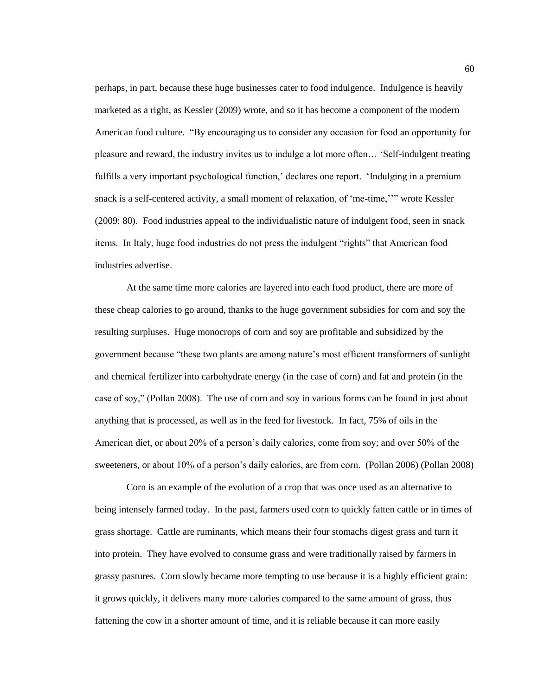perhaps, in part, because these huge businesses cater to food indulgence. Indulgence is heavily marketed as a right, as Kessler (2009) wrote, and so it has become a component of the modern American food culture. "By encouraging us to consider any occasion for food an opportunity for pleasure and reward, the industry invites us to indulge a lot more often... 'Self-indulgent treating fulfills a very important psychological function,' declares one report. 'Indulging in a premium snack is a self-centered activity, a small moment of relaxation, of 'me-time,''" wrote Kessler (2009: 80). Food industries appeal to the individualistic nature of indulgent food, seen in snack items. In Italy, huge food industries do not press the indulgent "rights" that American food industries advertise.

At the same time more calories are layered into each food product, there are more of these cheap calories to go around, thanks to the huge government subsidies for corn and soy the resulting surpluses. Huge monocrops of corn and soy are profitable and subsidized by the government because "these two plants are among nature's most efficient transformers of sunlight and chemical fertilizer into carbohydrate energy (in the case of corn) and fat and protein (in the case of soy," (Pollan 2008). The use of corn and soy in various forms can be found in just about anything that is processed, as well as in the feed for livestock. In fact, 75% of oils in the American diet, or about 20% of a person's daily calories, come from soy; and over 50% of the sweeteners, or about 10% of a person's daily calories, are from corn. (Pollan 2006) (Pollan 2008)

Corn is an example of the evolution of a crop that was once used as an alternative to being intensely farmed today. In the past, farmers used corn to quickly fatten cattle or in times of grass shortage. Cattle are ruminants, which means their four stomachs digest grass and turn it into protein. They have evolved to consume grass and were traditionally raised by farmers in grassy pastures. Corn slowly became more tempting to use because it is a highly efficient grain: it grows quickly, it delivers many more calories compared to the same amount of grass, thus fattening the cow in a shorter amount of time, and it is reliable because it can more easily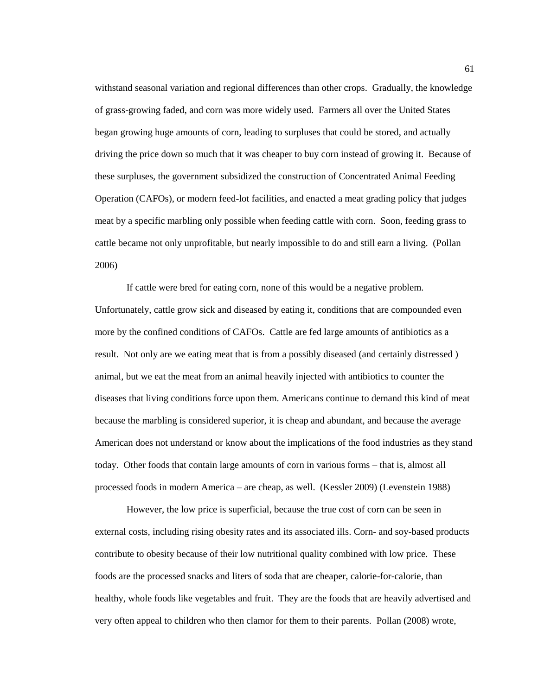withstand seasonal variation and regional differences than other crops. Gradually, the knowledge of grass-growing faded, and corn was more widely used. Farmers all over the United States began growing huge amounts of corn, leading to surpluses that could be stored, and actually driving the price down so much that it was cheaper to buy corn instead of growing it. Because of these surpluses, the government subsidized the construction of Concentrated Animal Feeding Operation (CAFOs), or modern feed-lot facilities, and enacted a meat grading policy that judges meat by a specific marbling only possible when feeding cattle with corn. Soon, feeding grass to cattle became not only unprofitable, but nearly impossible to do and still earn a living. (Pollan 2006)

If cattle were bred for eating corn, none of this would be a negative problem. Unfortunately, cattle grow sick and diseased by eating it, conditions that are compounded even more by the confined conditions of CAFOs. Cattle are fed large amounts of antibiotics as a result. Not only are we eating meat that is from a possibly diseased (and certainly distressed ) animal, but we eat the meat from an animal heavily injected with antibiotics to counter the diseases that living conditions force upon them. Americans continue to demand this kind of meat because the marbling is considered superior, it is cheap and abundant, and because the average American does not understand or know about the implications of the food industries as they stand today. Other foods that contain large amounts of corn in various forms – that is, almost all processed foods in modern America – are cheap, as well. (Kessler 2009) (Levenstein 1988)

However, the low price is superficial, because the true cost of corn can be seen in external costs, including rising obesity rates and its associated ills. Corn- and soy-based products contribute to obesity because of their low nutritional quality combined with low price. These foods are the processed snacks and liters of soda that are cheaper, calorie-for-calorie, than healthy, whole foods like vegetables and fruit. They are the foods that are heavily advertised and very often appeal to children who then clamor for them to their parents. Pollan (2008) wrote,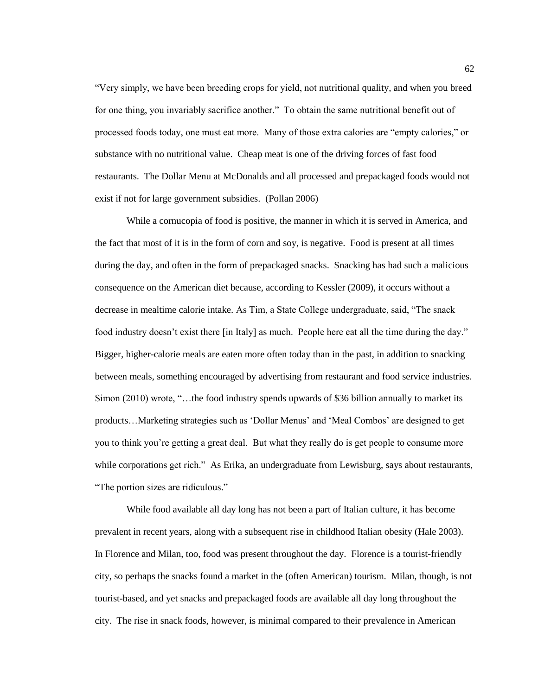―Very simply, we have been breeding crops for yield, not nutritional quality, and when you breed for one thing, you invariably sacrifice another." To obtain the same nutritional benefit out of processed foods today, one must eat more. Many of those extra calories are "empty calories," or substance with no nutritional value. Cheap meat is one of the driving forces of fast food restaurants. The Dollar Menu at McDonalds and all processed and prepackaged foods would not exist if not for large government subsidies. (Pollan 2006)

While a cornucopia of food is positive, the manner in which it is served in America, and the fact that most of it is in the form of corn and soy, is negative. Food is present at all times during the day, and often in the form of prepackaged snacks. Snacking has had such a malicious consequence on the American diet because, according to Kessler (2009), it occurs without a decrease in mealtime calorie intake. As Tim, a State College undergraduate, said, "The snack food industry doesn't exist there [in Italy] as much. People here eat all the time during the day." Bigger, higher-calorie meals are eaten more often today than in the past, in addition to snacking between meals, something encouraged by advertising from restaurant and food service industries. Simon  $(2010)$  wrote, "...the food industry spends upwards of \$36 billion annually to market its products…Marketing strategies such as 'Dollar Menus' and 'Meal Combos' are designed to get you to think you're getting a great deal. But what they really do is get people to consume more while corporations get rich." As Erika, an undergraduate from Lewisburg, says about restaurants, "The portion sizes are ridiculous."

While food available all day long has not been a part of Italian culture, it has become prevalent in recent years, along with a subsequent rise in childhood Italian obesity (Hale 2003). In Florence and Milan, too, food was present throughout the day. Florence is a tourist-friendly city, so perhaps the snacks found a market in the (often American) tourism. Milan, though, is not tourist-based, and yet snacks and prepackaged foods are available all day long throughout the city. The rise in snack foods, however, is minimal compared to their prevalence in American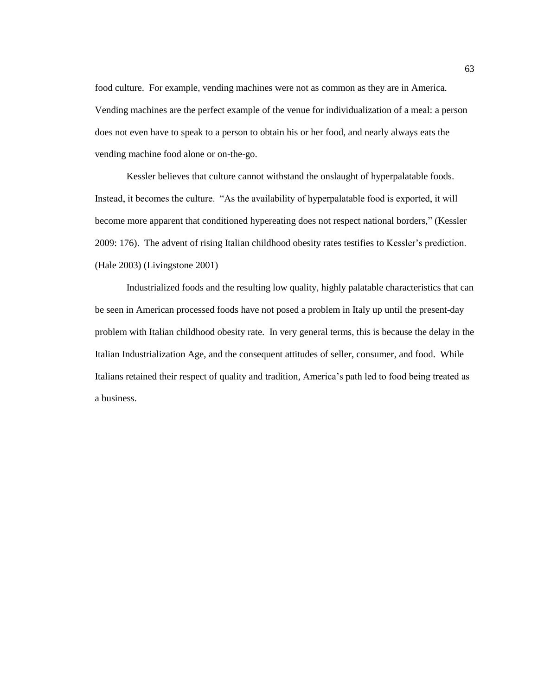food culture. For example, vending machines were not as common as they are in America. Vending machines are the perfect example of the venue for individualization of a meal: a person does not even have to speak to a person to obtain his or her food, and nearly always eats the vending machine food alone or on-the-go.

Kessler believes that culture cannot withstand the onslaught of hyperpalatable foods. Instead, it becomes the culture. "As the availability of hyperpalatable food is exported, it will become more apparent that conditioned hypereating does not respect national borders," (Kessler 2009: 176). The advent of rising Italian childhood obesity rates testifies to Kessler's prediction. (Hale 2003) (Livingstone 2001)

Industrialized foods and the resulting low quality, highly palatable characteristics that can be seen in American processed foods have not posed a problem in Italy up until the present-day problem with Italian childhood obesity rate. In very general terms, this is because the delay in the Italian Industrialization Age, and the consequent attitudes of seller, consumer, and food. While Italians retained their respect of quality and tradition, America's path led to food being treated as a business.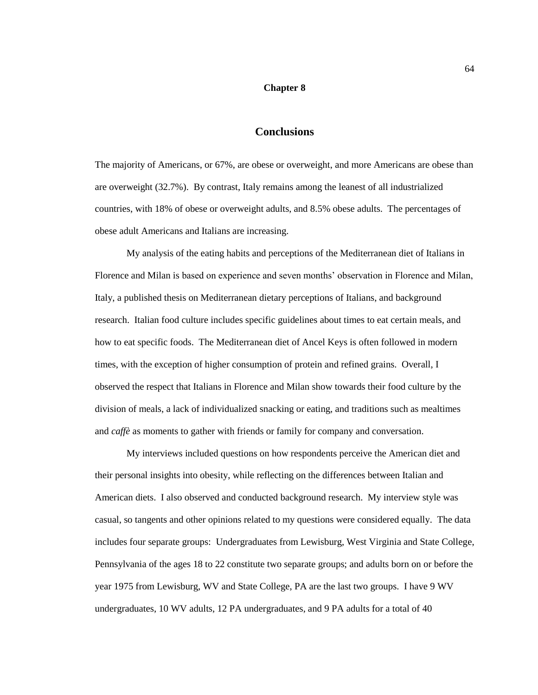## **Chapter 8**

## **Conclusions**

The majority of Americans, or 67%, are obese or overweight, and more Americans are obese than are overweight (32.7%). By contrast, Italy remains among the leanest of all industrialized countries, with 18% of obese or overweight adults, and 8.5% obese adults. The percentages of obese adult Americans and Italians are increasing.

My analysis of the eating habits and perceptions of the Mediterranean diet of Italians in Florence and Milan is based on experience and seven months' observation in Florence and Milan, Italy, a published thesis on Mediterranean dietary perceptions of Italians, and background research. Italian food culture includes specific guidelines about times to eat certain meals, and how to eat specific foods. The Mediterranean diet of Ancel Keys is often followed in modern times, with the exception of higher consumption of protein and refined grains. Overall, I observed the respect that Italians in Florence and Milan show towards their food culture by the division of meals, a lack of individualized snacking or eating, and traditions such as mealtimes and *caffè* as moments to gather with friends or family for company and conversation.

My interviews included questions on how respondents perceive the American diet and their personal insights into obesity, while reflecting on the differences between Italian and American diets. I also observed and conducted background research. My interview style was casual, so tangents and other opinions related to my questions were considered equally. The data includes four separate groups: Undergraduates from Lewisburg, West Virginia and State College, Pennsylvania of the ages 18 to 22 constitute two separate groups; and adults born on or before the year 1975 from Lewisburg, WV and State College, PA are the last two groups. I have 9 WV undergraduates, 10 WV adults, 12 PA undergraduates, and 9 PA adults for a total of 40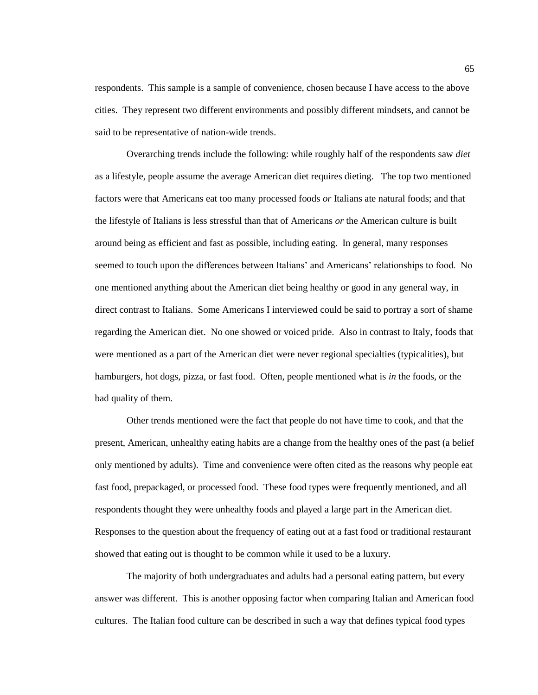respondents. This sample is a sample of convenience, chosen because I have access to the above cities. They represent two different environments and possibly different mindsets, and cannot be said to be representative of nation-wide trends.

Overarching trends include the following: while roughly half of the respondents saw *diet* as a lifestyle, people assume the average American diet requires dieting. The top two mentioned factors were that Americans eat too many processed foods *or* Italians ate natural foods; and that the lifestyle of Italians is less stressful than that of Americans *or* the American culture is built around being as efficient and fast as possible, including eating. In general, many responses seemed to touch upon the differences between Italians' and Americans' relationships to food. No one mentioned anything about the American diet being healthy or good in any general way, in direct contrast to Italians. Some Americans I interviewed could be said to portray a sort of shame regarding the American diet. No one showed or voiced pride. Also in contrast to Italy, foods that were mentioned as a part of the American diet were never regional specialties (typicalities), but hamburgers, hot dogs, pizza, or fast food. Often, people mentioned what is *in* the foods, or the bad quality of them.

Other trends mentioned were the fact that people do not have time to cook, and that the present, American, unhealthy eating habits are a change from the healthy ones of the past (a belief only mentioned by adults). Time and convenience were often cited as the reasons why people eat fast food, prepackaged, or processed food. These food types were frequently mentioned, and all respondents thought they were unhealthy foods and played a large part in the American diet. Responses to the question about the frequency of eating out at a fast food or traditional restaurant showed that eating out is thought to be common while it used to be a luxury.

The majority of both undergraduates and adults had a personal eating pattern, but every answer was different. This is another opposing factor when comparing Italian and American food cultures. The Italian food culture can be described in such a way that defines typical food types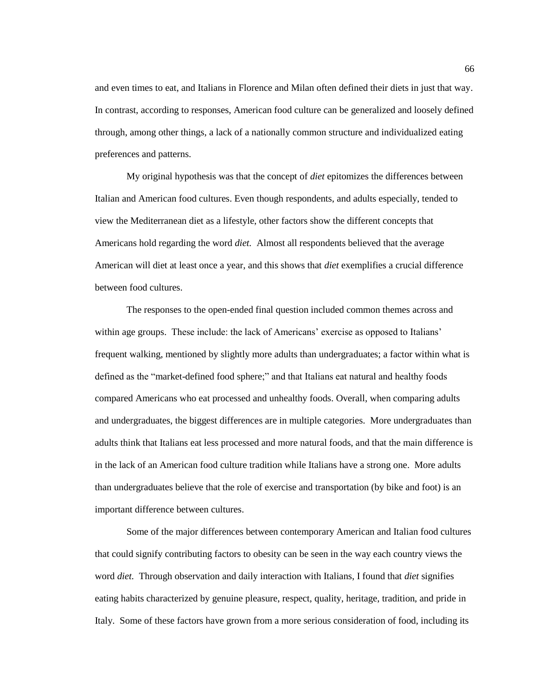and even times to eat, and Italians in Florence and Milan often defined their diets in just that way. In contrast, according to responses, American food culture can be generalized and loosely defined through, among other things, a lack of a nationally common structure and individualized eating preferences and patterns.

My original hypothesis was that the concept of *diet* epitomizes the differences between Italian and American food cultures. Even though respondents, and adults especially, tended to view the Mediterranean diet as a lifestyle, other factors show the different concepts that Americans hold regarding the word *diet.* Almost all respondents believed that the average American will diet at least once a year, and this shows that *diet* exemplifies a crucial difference between food cultures.

The responses to the open-ended final question included common themes across and within age groups. These include: the lack of Americans' exercise as opposed to Italians' frequent walking, mentioned by slightly more adults than undergraduates; a factor within what is defined as the "market-defined food sphere;" and that Italians eat natural and healthy foods compared Americans who eat processed and unhealthy foods. Overall, when comparing adults and undergraduates, the biggest differences are in multiple categories. More undergraduates than adults think that Italians eat less processed and more natural foods, and that the main difference is in the lack of an American food culture tradition while Italians have a strong one. More adults than undergraduates believe that the role of exercise and transportation (by bike and foot) is an important difference between cultures.

Some of the major differences between contemporary American and Italian food cultures that could signify contributing factors to obesity can be seen in the way each country views the word *diet.* Through observation and daily interaction with Italians, I found that *diet* signifies eating habits characterized by genuine pleasure, respect, quality, heritage, tradition, and pride in Italy. Some of these factors have grown from a more serious consideration of food, including its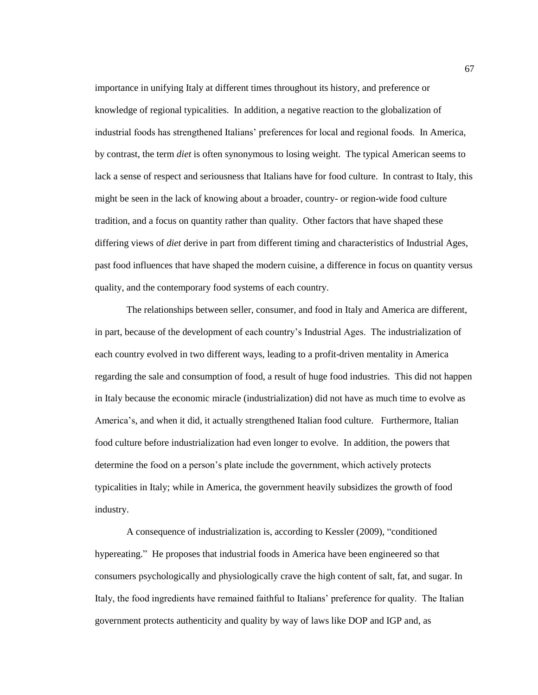importance in unifying Italy at different times throughout its history, and preference or knowledge of regional typicalities. In addition, a negative reaction to the globalization of industrial foods has strengthened Italians' preferences for local and regional foods. In America, by contrast, the term *diet* is often synonymous to losing weight. The typical American seems to lack a sense of respect and seriousness that Italians have for food culture. In contrast to Italy, this might be seen in the lack of knowing about a broader, country- or region-wide food culture tradition, and a focus on quantity rather than quality. Other factors that have shaped these differing views of *diet* derive in part from different timing and characteristics of Industrial Ages, past food influences that have shaped the modern cuisine, a difference in focus on quantity versus quality, and the contemporary food systems of each country.

The relationships between seller, consumer, and food in Italy and America are different, in part, because of the development of each country's Industrial Ages. The industrialization of each country evolved in two different ways, leading to a profit-driven mentality in America regarding the sale and consumption of food, a result of huge food industries. This did not happen in Italy because the economic miracle (industrialization) did not have as much time to evolve as America's, and when it did, it actually strengthened Italian food culture. Furthermore, Italian food culture before industrialization had even longer to evolve. In addition, the powers that determine the food on a person's plate include the government, which actively protects typicalities in Italy; while in America, the government heavily subsidizes the growth of food industry.

A consequence of industrialization is, according to Kessler (2009), "conditioned hypereating." He proposes that industrial foods in America have been engineered so that consumers psychologically and physiologically crave the high content of salt, fat, and sugar. In Italy, the food ingredients have remained faithful to Italians' preference for quality. The Italian government protects authenticity and quality by way of laws like DOP and IGP and, as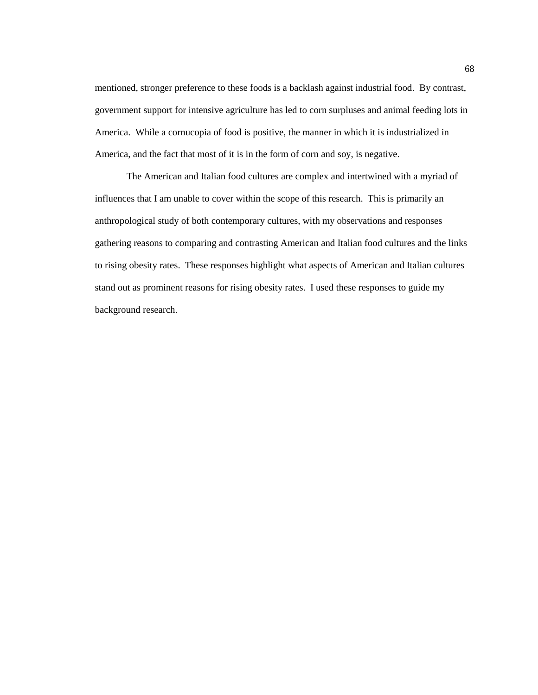mentioned, stronger preference to these foods is a backlash against industrial food. By contrast, government support for intensive agriculture has led to corn surpluses and animal feeding lots in America. While a cornucopia of food is positive, the manner in which it is industrialized in America, and the fact that most of it is in the form of corn and soy, is negative.

The American and Italian food cultures are complex and intertwined with a myriad of influences that I am unable to cover within the scope of this research. This is primarily an anthropological study of both contemporary cultures, with my observations and responses gathering reasons to comparing and contrasting American and Italian food cultures and the links to rising obesity rates. These responses highlight what aspects of American and Italian cultures stand out as prominent reasons for rising obesity rates. I used these responses to guide my background research.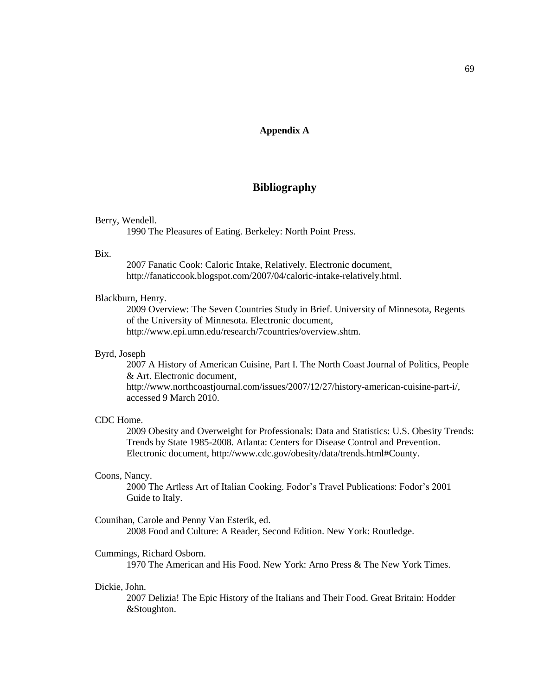# **Appendix A**

# **Bibliography**

# Berry, Wendell.

1990 The Pleasures of Eating. Berkeley: North Point Press.

# **Bix**

2007 Fanatic Cook: Caloric Intake, Relatively. Electronic document, http://fanaticcook.blogspot.com/2007/04/caloric-intake-relatively.html.

# Blackburn, Henry.

2009 Overview: The Seven Countries Study in Brief. University of Minnesota, Regents of the University of Minnesota. Electronic document, http://www.epi.umn.edu/research/7countries/overview.shtm.

# Byrd, Joseph

2007 A History of American Cuisine, Part I. The North Coast Journal of Politics, People & Art. Electronic document, http://www.northcoastjournal.com/issues/2007/12/27/history-american-cuisine-part-i/, accessed 9 March 2010.

### CDC Home.

2009 Obesity and Overweight for Professionals: Data and Statistics: U.S. Obesity Trends: Trends by State 1985-2008. Atlanta: Centers for Disease Control and Prevention. Electronic document, http://www.cdc.gov/obesity/data/trends.html#County.

# Coons, Nancy.

2000 The Artless Art of Italian Cooking. Fodor's Travel Publications: Fodor's 2001 Guide to Italy.

# Counihan, Carole and Penny Van Esterik, ed.

2008 Food and Culture: A Reader, Second Edition. New York: Routledge.

#### Cummings, Richard Osborn.

1970 The American and His Food. New York: Arno Press & The New York Times.

# Dickie, John.

2007 Delizia! The Epic History of the Italians and Their Food. Great Britain: Hodder &Stoughton.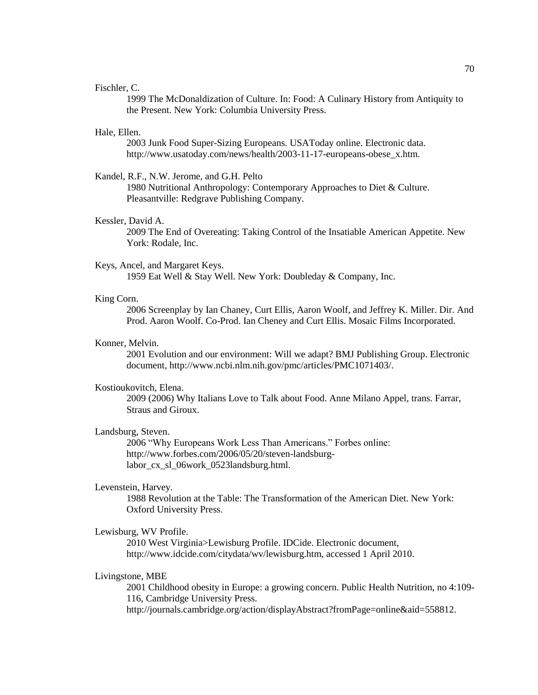# Fischler, C.

1999 The McDonaldization of Culture. In: Food: A Culinary History from Antiquity to the Present. New York: Columbia University Press.

# Hale, Ellen.

2003 Junk Food Super-Sizing Europeans. USAToday online. Electronic data. http://www.usatoday.com/news/health/2003-11-17-europeans-obese\_x.htm.

Kandel, R.F., N.W. Jerome, and G.H. Pelto

1980 Nutritional Anthropology: Contemporary Approaches to Diet & Culture. Pleasantville: Redgrave Publishing Company.

## Kessler, David A.

2009 The End of Overeating: Taking Control of the Insatiable American Appetite. New York: Rodale, Inc.

# Keys, Ancel, and Margaret Keys.

1959 Eat Well & Stay Well. New York: Doubleday & Company, Inc.

# King Corn.

2006 Screenplay by Ian Chaney, Curt Ellis, Aaron Woolf, and Jeffrey K. Miller. Dir. And Prod. Aaron Woolf. Co-Prod. Ian Cheney and Curt Ellis. Mosaic Films Incorporated.

# Konner, Melvin.

2001 Evolution and our environment: Will we adapt? BMJ Publishing Group. Electronic document, http://www.ncbi.nlm.nih.gov/pmc/articles/PMC1071403/.

### Kostioukovitch, Elena.

2009 (2006) Why Italians Love to Talk about Food. Anne Milano Appel, trans. Farrar, Straus and Giroux.

# Landsburg, Steven.

2006 "Why Europeans Work Less Than Americans." Forbes online: http://www.forbes.com/2006/05/20/steven-landsburglabor\_cx\_sl\_06work\_0523landsburg.html.

# Levenstein, Harvey.

1988 Revolution at the Table: The Transformation of the American Diet. New York: Oxford University Press.

# Lewisburg, WV Profile.

2010 West Virginia>Lewisburg Profile. IDCide. Electronic document, http://www.idcide.com/citydata/wv/lewisburg.htm, accessed 1 April 2010.

# Livingstone, MBE

2001 Childhood obesity in Europe: a growing concern. Public Health Nutrition, no 4:109- 116, Cambridge University Press. http://journals.cambridge.org/action/displayAbstract?fromPage=online&aid=558812.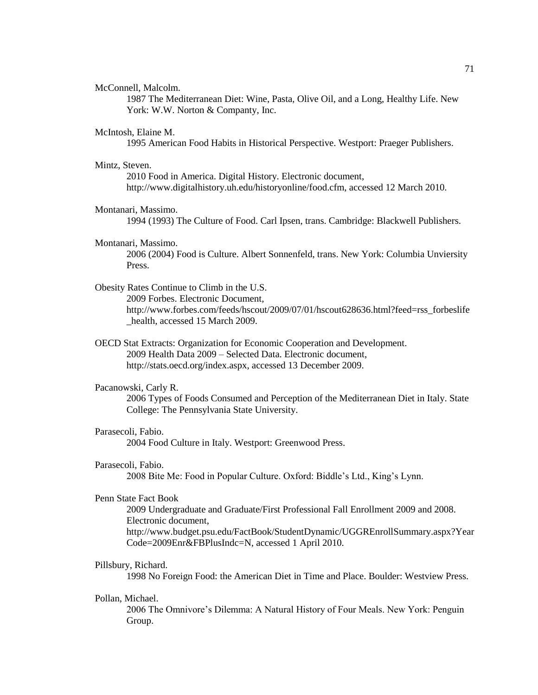McConnell, Malcolm.

1987 The Mediterranean Diet: Wine, Pasta, Olive Oil, and a Long, Healthy Life. New York: W.W. Norton & Companty, Inc.

# McIntosh, Elaine M.

1995 American Food Habits in Historical Perspective. Westport: Praeger Publishers.

# Mintz, Steven.

2010 Food in America. Digital History. Electronic document, http://www.digitalhistory.uh.edu/historyonline/food.cfm, accessed 12 March 2010.

## Montanari, Massimo.

1994 (1993) The Culture of Food. Carl Ipsen, trans. Cambridge: Blackwell Publishers.

#### Montanari, Massimo.

2006 (2004) Food is Culture. Albert Sonnenfeld, trans. New York: Columbia Unviersity Press.

# Obesity Rates Continue to Climb in the U.S.

2009 Forbes. Electronic Document, http://www.forbes.com/feeds/hscout/2009/07/01/hscout628636.html?feed=rss\_forbeslife health, accessed 15 March 2009.

OECD Stat Extracts: Organization for Economic Cooperation and Development. 2009 Health Data 2009 – Selected Data. Electronic document, http://stats.oecd.org/index.aspx, accessed 13 December 2009.

### Pacanowski, Carly R.

2006 Types of Foods Consumed and Perception of the Mediterranean Diet in Italy. State College: The Pennsylvania State University.

# Parasecoli, Fabio.

2004 Food Culture in Italy. Westport: Greenwood Press.

## Parasecoli, Fabio.

2008 Bite Me: Food in Popular Culture. Oxford: Biddle's Ltd., King's Lynn.

## Penn State Fact Book

2009 Undergraduate and Graduate/First Professional Fall Enrollment 2009 and 2008. Electronic document,

http://www.budget.psu.edu/FactBook/StudentDynamic/UGGREnrollSummary.aspx?Year Code=2009Enr&FBPlusIndc=N, accessed 1 April 2010.

# Pillsbury, Richard.

1998 No Foreign Food: the American Diet in Time and Place. Boulder: Westview Press.

# Pollan, Michael.

2006 The Omnivore's Dilemma: A Natural History of Four Meals. New York: Penguin Group.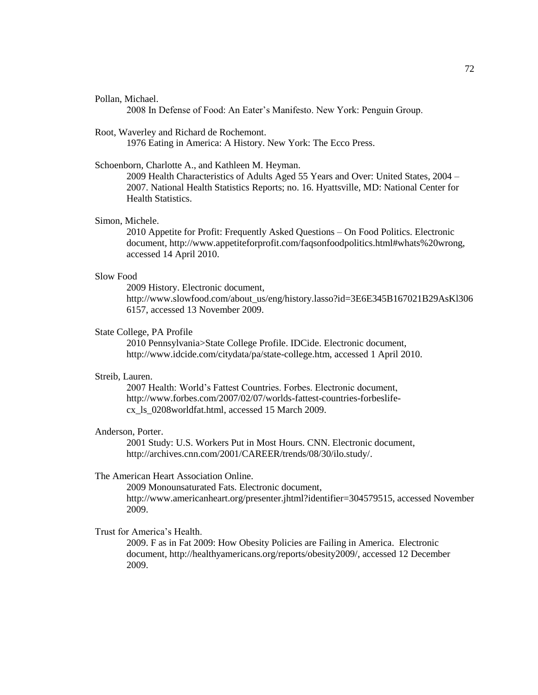### Pollan, Michael.

2008 In Defense of Food: An Eater's Manifesto. New York: Penguin Group.

Root, Waverley and Richard de Rochemont.

1976 Eating in America: A History. New York: The Ecco Press.

# Schoenborn, Charlotte A., and Kathleen M. Heyman.

2009 Health Characteristics of Adults Aged 55 Years and Over: United States, 2004 – 2007. National Health Statistics Reports; no. 16. Hyattsville, MD: National Center for Health Statistics.

## Simon, Michele.

2010 Appetite for Profit: Frequently Asked Questions – On Food Politics. Electronic document, http://www.appetiteforprofit.com/faqsonfoodpolitics.html#whats%20wrong, accessed 14 April 2010.

# Slow Food

2009 History. Electronic document, http://www.slowfood.com/about\_us/eng/history.lasso?id=3E6E345B167021B29AsKl306 6157, accessed 13 November 2009.

# State College, PA Profile

2010 Pennsylvania>State College Profile. IDCide. Electronic document, http://www.idcide.com/citydata/pa/state-college.htm, accessed 1 April 2010.

# Streib, Lauren.

2007 Health: World's Fattest Countries. Forbes. Electronic document, http://www.forbes.com/2007/02/07/worlds-fattest-countries-forbeslifecx\_ls\_0208worldfat.html, accessed 15 March 2009.

# Anderson, Porter.

2001 Study: U.S. Workers Put in Most Hours. CNN. Electronic document, http://archives.cnn.com/2001/CAREER/trends/08/30/ilo.study/.

# The American Heart Association Online.

2009 Monounsaturated Fats. Electronic document, http://www.americanheart.org/presenter.jhtml?identifier=304579515, accessed November 2009.

# Trust for America's Health.

2009. F as in Fat 2009: How Obesity Policies are Failing in America. Electronic document, http://healthyamericans.org/reports/obesity2009/, accessed 12 December 2009.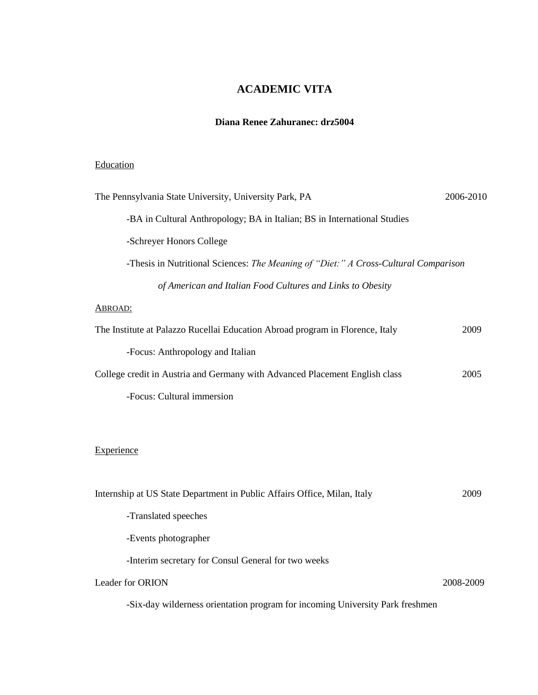# **ACADEMIC VITA**

# **Diana Renee Zahuranec: drz5004**

# **Education**

| The Pennsylvania State University, University Park, PA                              | 2006-2010 |
|-------------------------------------------------------------------------------------|-----------|
| -BA in Cultural Anthropology; BA in Italian; BS in International Studies            |           |
| -Schreyer Honors College                                                            |           |
| -Thesis in Nutritional Sciences: The Meaning of "Diet:" A Cross-Cultural Comparison |           |
| of American and Italian Food Cultures and Links to Obesity                          |           |
| <b>ABROAD:</b>                                                                      |           |
| The Institute at Palazzo Rucellai Education Abroad program in Florence, Italy       | 2009      |
| -Focus: Anthropology and Italian                                                    |           |
| College credit in Austria and Germany with Advanced Placement English class         | 2005      |
| -Focus: Cultural immersion                                                          |           |
|                                                                                     |           |
| Experience                                                                          |           |
| Internship at US State Department in Public Affairs Office, Milan, Italy            | 2009      |
| -Translated speeches                                                                |           |
| -Events photographer                                                                |           |
| -Interim secretary for Consul General for two weeks                                 |           |
| Leader for ORION                                                                    | 2008-2009 |
| -Six-day wilderness orientation program for incoming University Park freshmen       |           |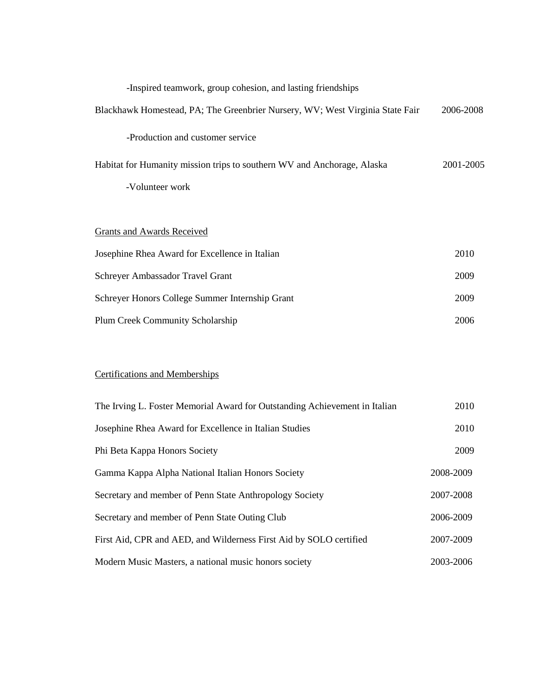| -Inspired teamwork, group cohesion, and lasting friendships                   |           |
|-------------------------------------------------------------------------------|-----------|
| Blackhawk Homestead, PA; The Greenbrier Nursery, WV; West Virginia State Fair | 2006-2008 |
| -Production and customer service                                              |           |
| Habitat for Humanity mission trips to southern WV and Anchorage, Alaska       | 2001-2005 |
| -Volunteer work                                                               |           |
|                                                                               |           |
| Grants and Awards Received                                                    |           |
| Josephine Rhea Award for Excellence in Italian                                | 2010      |
| Schreyer Ambassador Travel Grant                                              | 2009      |
| Schreyer Honors College Summer Internship Grant                               | 2009      |
| <b>Plum Creek Community Scholarship</b>                                       | 2006      |

# Certifications and Memberships

| The Irving L. Foster Memorial Award for Outstanding Achievement in Italian | 2010      |
|----------------------------------------------------------------------------|-----------|
| Josephine Rhea Award for Excellence in Italian Studies                     | 2010      |
| Phi Beta Kappa Honors Society                                              | 2009      |
| Gamma Kappa Alpha National Italian Honors Society                          | 2008-2009 |
| Secretary and member of Penn State Anthropology Society                    | 2007-2008 |
| Secretary and member of Penn State Outing Club                             | 2006-2009 |
| First Aid, CPR and AED, and Wilderness First Aid by SOLO certified         | 2007-2009 |
| Modern Music Masters, a national music honors society                      | 2003-2006 |